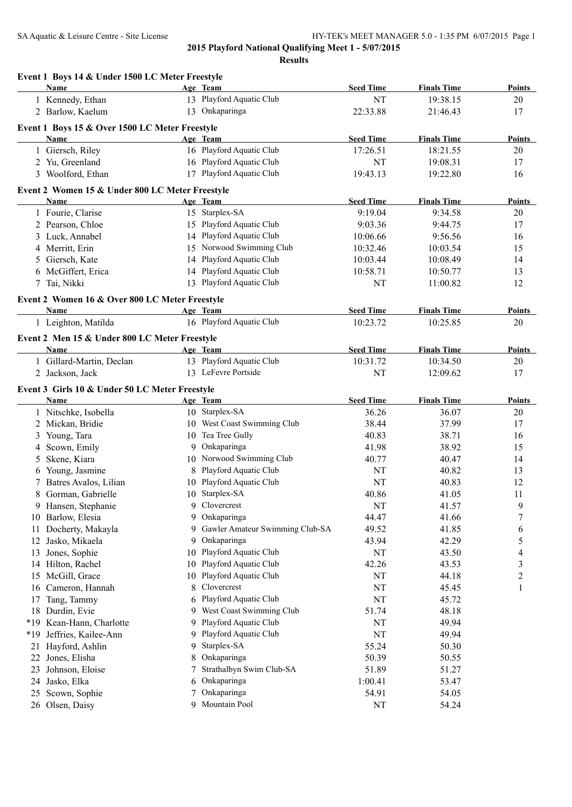| Name<br>Age Team<br>13 Playford Aquatic Club<br>1 Kennedy, Ethan<br>NT<br>19:38.15<br>20<br>2 Barlow, Kaelum<br>13 Onkaparinga<br>22:33.88<br>17<br>21:46.43<br>Event 1 Boys 15 & Over 1500 LC Meter Freestyle<br><b>Seed Time</b><br><b>Finals Time</b><br>Name<br>Age Team<br>1 Giersch, Riley<br>16 Playford Aquatic Club<br>17:26.51<br>18:21.55<br>20<br>16 Playford Aquatic Club<br>2 Yu, Greenland<br>NT<br>19:08.31<br>17<br>17 Playford Aquatic Club<br>3 Woolford, Ethan<br>19:43.13<br>19:22.80<br>16<br>Event 2 Women 15 & Under 800 LC Meter Freestyle<br><b>Seed Time</b><br>Name<br>Age Team<br><b>Finals Time</b><br>15 Starplex-SA<br>1 Fourie, Clarise<br>9:19.04<br>9:34.58<br>20<br>15 Playford Aquatic Club<br>2 Pearson, Chloe<br>9:03.36<br>9:44.75<br>17<br>14 Playford Aquatic Club<br>3 Luck, Annabel<br>9:56.56<br>10:06.66<br>16<br>Norwood Swimming Club<br>4 Merritt, Erin<br>15<br>10:03.54<br>15<br>10:32.46<br>Playford Aquatic Club<br>5 Giersch, Kate<br>14<br>10:03.44<br>10:08.49<br>14<br>14 Playford Aquatic Club<br>6 McGiffert, Erica<br>10:58.71<br>10:50.77<br>13<br>7 Tai, Nikki<br>13 Playford Aquatic Club<br>NT<br>11:00.82<br>12<br>Event 2 Women 16 & Over 800 LC Meter Freestyle<br><b>Seed Time</b><br><b>Finals Time</b><br>Name<br>Age Team<br><b>Points</b><br>16 Playford Aquatic Club<br>1 Leighton, Matilda<br>10:23.72<br>10:25.85<br>20<br>Event 2 Men 15 & Under 800 LC Meter Freestyle<br><b>Seed Time</b><br><b>Finals Time</b><br>Age Team<br>Name<br>Points<br>13 Playford Aquatic Club<br>1 Gillard-Martin, Declan<br>20<br>10:31.72<br>10:34.50<br>13 LeFevre Portside<br>2 Jackson, Jack<br>NT<br>12:09.62<br>17<br>Event 3 Girls 10 & Under 50 LC Meter Freestyle<br><b>Seed Time</b><br><b>Name</b><br>Age Team<br><b>Finals Time</b><br>Points<br>10 Starplex-SA<br>1 Nitschke, Isobella<br>36.26<br>36.07<br>20<br>2 Mickan, Bridie<br>10 West Coast Swimming Club<br>38.44<br>37.99<br>17<br>10 Tea Tree Gully<br>Young, Tara<br>40.83<br>38.71<br>16<br>3<br>9 Onkaparinga<br>Scown, Emily<br>41.98<br>38.92<br>15<br>4<br>10 Norwood Swimming Club<br>Skene, Kiara<br>40.77<br>40.47<br>5<br>14<br>Playford Aquatic Club<br>Young, Jasmine<br>NT<br>40.82<br>13<br>8<br>6<br>Playford Aquatic Club<br>Batres Avalos, Lilian<br>NT<br>40.83<br>12<br>10<br>7<br>10 Starplex-SA<br>8 Gorman, Gabrielle<br>40.86<br>41.05<br>11<br>Clovercrest<br>NT<br>Hansen, Stephanie<br>41.57<br>9<br>9<br>9.<br>Onkaparinga<br>$\boldsymbol{7}$<br>10 Barlow, Elesia<br>44.47<br>9<br>41.66<br>Gawler Amateur Swimming Club-SA<br>Docherty, Makayla<br>49.52<br>41.85<br>6<br>9<br>11<br>Onkaparinga<br>5<br>Jasko, Mikaela<br>9<br>43.94<br>42.29<br>12<br>Playford Aquatic Club<br>Jones, Sophie<br>$\rm{NT}$<br>43.50<br>13<br>10<br>4<br>Playford Aquatic Club<br>Hilton, Rachel<br>42.26<br>3<br>10<br>43.53<br>14<br>Playford Aquatic Club<br>15 McGill, Grace<br>NT<br>$\overline{c}$<br>44.18<br>10<br>Clovercrest<br>Cameron, Hannah<br>$\rm{NT}$<br>45.45<br>8<br>1<br>16<br>Playford Aquatic Club<br>Tang, Tammy<br>NT<br>45.72<br>17<br>6<br>West Coast Swimming Club<br>18 Durdin, Evie<br>48.18<br>9<br>51.74<br>Playford Aquatic Club<br>*19 Kean-Hann, Charlotte<br>NT<br>49.94<br>9<br>Playford Aquatic Club<br>Jeffries, Kailee-Ann<br>NT<br>49.94<br>$*19$<br>9<br>Starplex-SA<br>Hayford, Ashlin<br>55.24<br>50.30<br>21<br>9<br>Onkaparinga<br>Jones, Elisha<br>50.39<br>8<br>50.55<br>22<br>Strathalbyn Swim Club-SA<br>Johnson, Eloise<br>51.89<br>51.27<br>23<br>7<br>Onkaparinga<br>Jasko, Elka<br>1:00.41<br>53.47<br>24<br>6<br>Onkaparinga<br>Scown, Sophie<br>54.91<br>54.05<br>25<br>7<br>26 Olsen, Daisy<br>9 | Event 1 Boys 14 & Under 1500 LC Meter Freestyle |               |                  |                    |               |
|-----------------------------------------------------------------------------------------------------------------------------------------------------------------------------------------------------------------------------------------------------------------------------------------------------------------------------------------------------------------------------------------------------------------------------------------------------------------------------------------------------------------------------------------------------------------------------------------------------------------------------------------------------------------------------------------------------------------------------------------------------------------------------------------------------------------------------------------------------------------------------------------------------------------------------------------------------------------------------------------------------------------------------------------------------------------------------------------------------------------------------------------------------------------------------------------------------------------------------------------------------------------------------------------------------------------------------------------------------------------------------------------------------------------------------------------------------------------------------------------------------------------------------------------------------------------------------------------------------------------------------------------------------------------------------------------------------------------------------------------------------------------------------------------------------------------------------------------------------------------------------------------------------------------------------------------------------------------------------------------------------------------------------------------------------------------------------------------------------------------------------------------------------------------------------------------------------------------------------------------------------------------------------------------------------------------------------------------------------------------------------------------------------------------------------------------------------------------------------------------------------------------------------------------------------------------------------------------------------------------------------------------------------------------------------------------------------------------------------------------------------------------------------------------------------------------------------------------------------------------------------------------------------------------------------------------------------------------------------------------------------------------------------------------------------------------------------------------------------------------------------------------------------------------------------------------------------------------------------------------------------------------------------------------------------------------------------------------------------------------------------------------------------------------------------------------------------------------------------------------------------------------------------------------------------------------------------------------------------------------------------------------------------------------------------------------------------------|-------------------------------------------------|---------------|------------------|--------------------|---------------|
|                                                                                                                                                                                                                                                                                                                                                                                                                                                                                                                                                                                                                                                                                                                                                                                                                                                                                                                                                                                                                                                                                                                                                                                                                                                                                                                                                                                                                                                                                                                                                                                                                                                                                                                                                                                                                                                                                                                                                                                                                                                                                                                                                                                                                                                                                                                                                                                                                                                                                                                                                                                                                                                                                                                                                                                                                                                                                                                                                                                                                                                                                                                                                                                                                                                                                                                                                                                                                                                                                                                                                                                                                                                                                                           |                                                 |               | <b>Seed Time</b> | <b>Finals Time</b> | Points        |
|                                                                                                                                                                                                                                                                                                                                                                                                                                                                                                                                                                                                                                                                                                                                                                                                                                                                                                                                                                                                                                                                                                                                                                                                                                                                                                                                                                                                                                                                                                                                                                                                                                                                                                                                                                                                                                                                                                                                                                                                                                                                                                                                                                                                                                                                                                                                                                                                                                                                                                                                                                                                                                                                                                                                                                                                                                                                                                                                                                                                                                                                                                                                                                                                                                                                                                                                                                                                                                                                                                                                                                                                                                                                                                           |                                                 |               |                  |                    |               |
|                                                                                                                                                                                                                                                                                                                                                                                                                                                                                                                                                                                                                                                                                                                                                                                                                                                                                                                                                                                                                                                                                                                                                                                                                                                                                                                                                                                                                                                                                                                                                                                                                                                                                                                                                                                                                                                                                                                                                                                                                                                                                                                                                                                                                                                                                                                                                                                                                                                                                                                                                                                                                                                                                                                                                                                                                                                                                                                                                                                                                                                                                                                                                                                                                                                                                                                                                                                                                                                                                                                                                                                                                                                                                                           |                                                 |               |                  |                    |               |
|                                                                                                                                                                                                                                                                                                                                                                                                                                                                                                                                                                                                                                                                                                                                                                                                                                                                                                                                                                                                                                                                                                                                                                                                                                                                                                                                                                                                                                                                                                                                                                                                                                                                                                                                                                                                                                                                                                                                                                                                                                                                                                                                                                                                                                                                                                                                                                                                                                                                                                                                                                                                                                                                                                                                                                                                                                                                                                                                                                                                                                                                                                                                                                                                                                                                                                                                                                                                                                                                                                                                                                                                                                                                                                           |                                                 |               |                  |                    |               |
|                                                                                                                                                                                                                                                                                                                                                                                                                                                                                                                                                                                                                                                                                                                                                                                                                                                                                                                                                                                                                                                                                                                                                                                                                                                                                                                                                                                                                                                                                                                                                                                                                                                                                                                                                                                                                                                                                                                                                                                                                                                                                                                                                                                                                                                                                                                                                                                                                                                                                                                                                                                                                                                                                                                                                                                                                                                                                                                                                                                                                                                                                                                                                                                                                                                                                                                                                                                                                                                                                                                                                                                                                                                                                                           |                                                 |               |                  |                    | <b>Points</b> |
|                                                                                                                                                                                                                                                                                                                                                                                                                                                                                                                                                                                                                                                                                                                                                                                                                                                                                                                                                                                                                                                                                                                                                                                                                                                                                                                                                                                                                                                                                                                                                                                                                                                                                                                                                                                                                                                                                                                                                                                                                                                                                                                                                                                                                                                                                                                                                                                                                                                                                                                                                                                                                                                                                                                                                                                                                                                                                                                                                                                                                                                                                                                                                                                                                                                                                                                                                                                                                                                                                                                                                                                                                                                                                                           |                                                 |               |                  |                    |               |
|                                                                                                                                                                                                                                                                                                                                                                                                                                                                                                                                                                                                                                                                                                                                                                                                                                                                                                                                                                                                                                                                                                                                                                                                                                                                                                                                                                                                                                                                                                                                                                                                                                                                                                                                                                                                                                                                                                                                                                                                                                                                                                                                                                                                                                                                                                                                                                                                                                                                                                                                                                                                                                                                                                                                                                                                                                                                                                                                                                                                                                                                                                                                                                                                                                                                                                                                                                                                                                                                                                                                                                                                                                                                                                           |                                                 |               |                  |                    |               |
|                                                                                                                                                                                                                                                                                                                                                                                                                                                                                                                                                                                                                                                                                                                                                                                                                                                                                                                                                                                                                                                                                                                                                                                                                                                                                                                                                                                                                                                                                                                                                                                                                                                                                                                                                                                                                                                                                                                                                                                                                                                                                                                                                                                                                                                                                                                                                                                                                                                                                                                                                                                                                                                                                                                                                                                                                                                                                                                                                                                                                                                                                                                                                                                                                                                                                                                                                                                                                                                                                                                                                                                                                                                                                                           |                                                 |               |                  |                    |               |
|                                                                                                                                                                                                                                                                                                                                                                                                                                                                                                                                                                                                                                                                                                                                                                                                                                                                                                                                                                                                                                                                                                                                                                                                                                                                                                                                                                                                                                                                                                                                                                                                                                                                                                                                                                                                                                                                                                                                                                                                                                                                                                                                                                                                                                                                                                                                                                                                                                                                                                                                                                                                                                                                                                                                                                                                                                                                                                                                                                                                                                                                                                                                                                                                                                                                                                                                                                                                                                                                                                                                                                                                                                                                                                           |                                                 |               |                  |                    |               |
|                                                                                                                                                                                                                                                                                                                                                                                                                                                                                                                                                                                                                                                                                                                                                                                                                                                                                                                                                                                                                                                                                                                                                                                                                                                                                                                                                                                                                                                                                                                                                                                                                                                                                                                                                                                                                                                                                                                                                                                                                                                                                                                                                                                                                                                                                                                                                                                                                                                                                                                                                                                                                                                                                                                                                                                                                                                                                                                                                                                                                                                                                                                                                                                                                                                                                                                                                                                                                                                                                                                                                                                                                                                                                                           |                                                 |               |                  |                    | <b>Points</b> |
|                                                                                                                                                                                                                                                                                                                                                                                                                                                                                                                                                                                                                                                                                                                                                                                                                                                                                                                                                                                                                                                                                                                                                                                                                                                                                                                                                                                                                                                                                                                                                                                                                                                                                                                                                                                                                                                                                                                                                                                                                                                                                                                                                                                                                                                                                                                                                                                                                                                                                                                                                                                                                                                                                                                                                                                                                                                                                                                                                                                                                                                                                                                                                                                                                                                                                                                                                                                                                                                                                                                                                                                                                                                                                                           |                                                 |               |                  |                    |               |
|                                                                                                                                                                                                                                                                                                                                                                                                                                                                                                                                                                                                                                                                                                                                                                                                                                                                                                                                                                                                                                                                                                                                                                                                                                                                                                                                                                                                                                                                                                                                                                                                                                                                                                                                                                                                                                                                                                                                                                                                                                                                                                                                                                                                                                                                                                                                                                                                                                                                                                                                                                                                                                                                                                                                                                                                                                                                                                                                                                                                                                                                                                                                                                                                                                                                                                                                                                                                                                                                                                                                                                                                                                                                                                           |                                                 |               |                  |                    |               |
|                                                                                                                                                                                                                                                                                                                                                                                                                                                                                                                                                                                                                                                                                                                                                                                                                                                                                                                                                                                                                                                                                                                                                                                                                                                                                                                                                                                                                                                                                                                                                                                                                                                                                                                                                                                                                                                                                                                                                                                                                                                                                                                                                                                                                                                                                                                                                                                                                                                                                                                                                                                                                                                                                                                                                                                                                                                                                                                                                                                                                                                                                                                                                                                                                                                                                                                                                                                                                                                                                                                                                                                                                                                                                                           |                                                 |               |                  |                    |               |
|                                                                                                                                                                                                                                                                                                                                                                                                                                                                                                                                                                                                                                                                                                                                                                                                                                                                                                                                                                                                                                                                                                                                                                                                                                                                                                                                                                                                                                                                                                                                                                                                                                                                                                                                                                                                                                                                                                                                                                                                                                                                                                                                                                                                                                                                                                                                                                                                                                                                                                                                                                                                                                                                                                                                                                                                                                                                                                                                                                                                                                                                                                                                                                                                                                                                                                                                                                                                                                                                                                                                                                                                                                                                                                           |                                                 |               |                  |                    |               |
|                                                                                                                                                                                                                                                                                                                                                                                                                                                                                                                                                                                                                                                                                                                                                                                                                                                                                                                                                                                                                                                                                                                                                                                                                                                                                                                                                                                                                                                                                                                                                                                                                                                                                                                                                                                                                                                                                                                                                                                                                                                                                                                                                                                                                                                                                                                                                                                                                                                                                                                                                                                                                                                                                                                                                                                                                                                                                                                                                                                                                                                                                                                                                                                                                                                                                                                                                                                                                                                                                                                                                                                                                                                                                                           |                                                 |               |                  |                    |               |
|                                                                                                                                                                                                                                                                                                                                                                                                                                                                                                                                                                                                                                                                                                                                                                                                                                                                                                                                                                                                                                                                                                                                                                                                                                                                                                                                                                                                                                                                                                                                                                                                                                                                                                                                                                                                                                                                                                                                                                                                                                                                                                                                                                                                                                                                                                                                                                                                                                                                                                                                                                                                                                                                                                                                                                                                                                                                                                                                                                                                                                                                                                                                                                                                                                                                                                                                                                                                                                                                                                                                                                                                                                                                                                           |                                                 |               |                  |                    |               |
|                                                                                                                                                                                                                                                                                                                                                                                                                                                                                                                                                                                                                                                                                                                                                                                                                                                                                                                                                                                                                                                                                                                                                                                                                                                                                                                                                                                                                                                                                                                                                                                                                                                                                                                                                                                                                                                                                                                                                                                                                                                                                                                                                                                                                                                                                                                                                                                                                                                                                                                                                                                                                                                                                                                                                                                                                                                                                                                                                                                                                                                                                                                                                                                                                                                                                                                                                                                                                                                                                                                                                                                                                                                                                                           |                                                 |               |                  |                    |               |
|                                                                                                                                                                                                                                                                                                                                                                                                                                                                                                                                                                                                                                                                                                                                                                                                                                                                                                                                                                                                                                                                                                                                                                                                                                                                                                                                                                                                                                                                                                                                                                                                                                                                                                                                                                                                                                                                                                                                                                                                                                                                                                                                                                                                                                                                                                                                                                                                                                                                                                                                                                                                                                                                                                                                                                                                                                                                                                                                                                                                                                                                                                                                                                                                                                                                                                                                                                                                                                                                                                                                                                                                                                                                                                           |                                                 |               |                  |                    |               |
|                                                                                                                                                                                                                                                                                                                                                                                                                                                                                                                                                                                                                                                                                                                                                                                                                                                                                                                                                                                                                                                                                                                                                                                                                                                                                                                                                                                                                                                                                                                                                                                                                                                                                                                                                                                                                                                                                                                                                                                                                                                                                                                                                                                                                                                                                                                                                                                                                                                                                                                                                                                                                                                                                                                                                                                                                                                                                                                                                                                                                                                                                                                                                                                                                                                                                                                                                                                                                                                                                                                                                                                                                                                                                                           |                                                 |               |                  |                    |               |
|                                                                                                                                                                                                                                                                                                                                                                                                                                                                                                                                                                                                                                                                                                                                                                                                                                                                                                                                                                                                                                                                                                                                                                                                                                                                                                                                                                                                                                                                                                                                                                                                                                                                                                                                                                                                                                                                                                                                                                                                                                                                                                                                                                                                                                                                                                                                                                                                                                                                                                                                                                                                                                                                                                                                                                                                                                                                                                                                                                                                                                                                                                                                                                                                                                                                                                                                                                                                                                                                                                                                                                                                                                                                                                           |                                                 |               |                  |                    |               |
|                                                                                                                                                                                                                                                                                                                                                                                                                                                                                                                                                                                                                                                                                                                                                                                                                                                                                                                                                                                                                                                                                                                                                                                                                                                                                                                                                                                                                                                                                                                                                                                                                                                                                                                                                                                                                                                                                                                                                                                                                                                                                                                                                                                                                                                                                                                                                                                                                                                                                                                                                                                                                                                                                                                                                                                                                                                                                                                                                                                                                                                                                                                                                                                                                                                                                                                                                                                                                                                                                                                                                                                                                                                                                                           |                                                 |               |                  |                    |               |
|                                                                                                                                                                                                                                                                                                                                                                                                                                                                                                                                                                                                                                                                                                                                                                                                                                                                                                                                                                                                                                                                                                                                                                                                                                                                                                                                                                                                                                                                                                                                                                                                                                                                                                                                                                                                                                                                                                                                                                                                                                                                                                                                                                                                                                                                                                                                                                                                                                                                                                                                                                                                                                                                                                                                                                                                                                                                                                                                                                                                                                                                                                                                                                                                                                                                                                                                                                                                                                                                                                                                                                                                                                                                                                           |                                                 |               |                  |                    |               |
|                                                                                                                                                                                                                                                                                                                                                                                                                                                                                                                                                                                                                                                                                                                                                                                                                                                                                                                                                                                                                                                                                                                                                                                                                                                                                                                                                                                                                                                                                                                                                                                                                                                                                                                                                                                                                                                                                                                                                                                                                                                                                                                                                                                                                                                                                                                                                                                                                                                                                                                                                                                                                                                                                                                                                                                                                                                                                                                                                                                                                                                                                                                                                                                                                                                                                                                                                                                                                                                                                                                                                                                                                                                                                                           |                                                 |               |                  |                    |               |
|                                                                                                                                                                                                                                                                                                                                                                                                                                                                                                                                                                                                                                                                                                                                                                                                                                                                                                                                                                                                                                                                                                                                                                                                                                                                                                                                                                                                                                                                                                                                                                                                                                                                                                                                                                                                                                                                                                                                                                                                                                                                                                                                                                                                                                                                                                                                                                                                                                                                                                                                                                                                                                                                                                                                                                                                                                                                                                                                                                                                                                                                                                                                                                                                                                                                                                                                                                                                                                                                                                                                                                                                                                                                                                           |                                                 |               |                  |                    |               |
|                                                                                                                                                                                                                                                                                                                                                                                                                                                                                                                                                                                                                                                                                                                                                                                                                                                                                                                                                                                                                                                                                                                                                                                                                                                                                                                                                                                                                                                                                                                                                                                                                                                                                                                                                                                                                                                                                                                                                                                                                                                                                                                                                                                                                                                                                                                                                                                                                                                                                                                                                                                                                                                                                                                                                                                                                                                                                                                                                                                                                                                                                                                                                                                                                                                                                                                                                                                                                                                                                                                                                                                                                                                                                                           |                                                 |               |                  |                    |               |
|                                                                                                                                                                                                                                                                                                                                                                                                                                                                                                                                                                                                                                                                                                                                                                                                                                                                                                                                                                                                                                                                                                                                                                                                                                                                                                                                                                                                                                                                                                                                                                                                                                                                                                                                                                                                                                                                                                                                                                                                                                                                                                                                                                                                                                                                                                                                                                                                                                                                                                                                                                                                                                                                                                                                                                                                                                                                                                                                                                                                                                                                                                                                                                                                                                                                                                                                                                                                                                                                                                                                                                                                                                                                                                           |                                                 |               |                  |                    |               |
|                                                                                                                                                                                                                                                                                                                                                                                                                                                                                                                                                                                                                                                                                                                                                                                                                                                                                                                                                                                                                                                                                                                                                                                                                                                                                                                                                                                                                                                                                                                                                                                                                                                                                                                                                                                                                                                                                                                                                                                                                                                                                                                                                                                                                                                                                                                                                                                                                                                                                                                                                                                                                                                                                                                                                                                                                                                                                                                                                                                                                                                                                                                                                                                                                                                                                                                                                                                                                                                                                                                                                                                                                                                                                                           |                                                 |               |                  |                    |               |
|                                                                                                                                                                                                                                                                                                                                                                                                                                                                                                                                                                                                                                                                                                                                                                                                                                                                                                                                                                                                                                                                                                                                                                                                                                                                                                                                                                                                                                                                                                                                                                                                                                                                                                                                                                                                                                                                                                                                                                                                                                                                                                                                                                                                                                                                                                                                                                                                                                                                                                                                                                                                                                                                                                                                                                                                                                                                                                                                                                                                                                                                                                                                                                                                                                                                                                                                                                                                                                                                                                                                                                                                                                                                                                           |                                                 |               |                  |                    |               |
|                                                                                                                                                                                                                                                                                                                                                                                                                                                                                                                                                                                                                                                                                                                                                                                                                                                                                                                                                                                                                                                                                                                                                                                                                                                                                                                                                                                                                                                                                                                                                                                                                                                                                                                                                                                                                                                                                                                                                                                                                                                                                                                                                                                                                                                                                                                                                                                                                                                                                                                                                                                                                                                                                                                                                                                                                                                                                                                                                                                                                                                                                                                                                                                                                                                                                                                                                                                                                                                                                                                                                                                                                                                                                                           |                                                 |               |                  |                    |               |
|                                                                                                                                                                                                                                                                                                                                                                                                                                                                                                                                                                                                                                                                                                                                                                                                                                                                                                                                                                                                                                                                                                                                                                                                                                                                                                                                                                                                                                                                                                                                                                                                                                                                                                                                                                                                                                                                                                                                                                                                                                                                                                                                                                                                                                                                                                                                                                                                                                                                                                                                                                                                                                                                                                                                                                                                                                                                                                                                                                                                                                                                                                                                                                                                                                                                                                                                                                                                                                                                                                                                                                                                                                                                                                           |                                                 |               |                  |                    |               |
|                                                                                                                                                                                                                                                                                                                                                                                                                                                                                                                                                                                                                                                                                                                                                                                                                                                                                                                                                                                                                                                                                                                                                                                                                                                                                                                                                                                                                                                                                                                                                                                                                                                                                                                                                                                                                                                                                                                                                                                                                                                                                                                                                                                                                                                                                                                                                                                                                                                                                                                                                                                                                                                                                                                                                                                                                                                                                                                                                                                                                                                                                                                                                                                                                                                                                                                                                                                                                                                                                                                                                                                                                                                                                                           |                                                 |               |                  |                    |               |
|                                                                                                                                                                                                                                                                                                                                                                                                                                                                                                                                                                                                                                                                                                                                                                                                                                                                                                                                                                                                                                                                                                                                                                                                                                                                                                                                                                                                                                                                                                                                                                                                                                                                                                                                                                                                                                                                                                                                                                                                                                                                                                                                                                                                                                                                                                                                                                                                                                                                                                                                                                                                                                                                                                                                                                                                                                                                                                                                                                                                                                                                                                                                                                                                                                                                                                                                                                                                                                                                                                                                                                                                                                                                                                           |                                                 |               |                  |                    |               |
|                                                                                                                                                                                                                                                                                                                                                                                                                                                                                                                                                                                                                                                                                                                                                                                                                                                                                                                                                                                                                                                                                                                                                                                                                                                                                                                                                                                                                                                                                                                                                                                                                                                                                                                                                                                                                                                                                                                                                                                                                                                                                                                                                                                                                                                                                                                                                                                                                                                                                                                                                                                                                                                                                                                                                                                                                                                                                                                                                                                                                                                                                                                                                                                                                                                                                                                                                                                                                                                                                                                                                                                                                                                                                                           |                                                 |               |                  |                    |               |
|                                                                                                                                                                                                                                                                                                                                                                                                                                                                                                                                                                                                                                                                                                                                                                                                                                                                                                                                                                                                                                                                                                                                                                                                                                                                                                                                                                                                                                                                                                                                                                                                                                                                                                                                                                                                                                                                                                                                                                                                                                                                                                                                                                                                                                                                                                                                                                                                                                                                                                                                                                                                                                                                                                                                                                                                                                                                                                                                                                                                                                                                                                                                                                                                                                                                                                                                                                                                                                                                                                                                                                                                                                                                                                           |                                                 |               |                  |                    |               |
|                                                                                                                                                                                                                                                                                                                                                                                                                                                                                                                                                                                                                                                                                                                                                                                                                                                                                                                                                                                                                                                                                                                                                                                                                                                                                                                                                                                                                                                                                                                                                                                                                                                                                                                                                                                                                                                                                                                                                                                                                                                                                                                                                                                                                                                                                                                                                                                                                                                                                                                                                                                                                                                                                                                                                                                                                                                                                                                                                                                                                                                                                                                                                                                                                                                                                                                                                                                                                                                                                                                                                                                                                                                                                                           |                                                 |               |                  |                    |               |
|                                                                                                                                                                                                                                                                                                                                                                                                                                                                                                                                                                                                                                                                                                                                                                                                                                                                                                                                                                                                                                                                                                                                                                                                                                                                                                                                                                                                                                                                                                                                                                                                                                                                                                                                                                                                                                                                                                                                                                                                                                                                                                                                                                                                                                                                                                                                                                                                                                                                                                                                                                                                                                                                                                                                                                                                                                                                                                                                                                                                                                                                                                                                                                                                                                                                                                                                                                                                                                                                                                                                                                                                                                                                                                           |                                                 |               |                  |                    |               |
|                                                                                                                                                                                                                                                                                                                                                                                                                                                                                                                                                                                                                                                                                                                                                                                                                                                                                                                                                                                                                                                                                                                                                                                                                                                                                                                                                                                                                                                                                                                                                                                                                                                                                                                                                                                                                                                                                                                                                                                                                                                                                                                                                                                                                                                                                                                                                                                                                                                                                                                                                                                                                                                                                                                                                                                                                                                                                                                                                                                                                                                                                                                                                                                                                                                                                                                                                                                                                                                                                                                                                                                                                                                                                                           |                                                 |               |                  |                    |               |
|                                                                                                                                                                                                                                                                                                                                                                                                                                                                                                                                                                                                                                                                                                                                                                                                                                                                                                                                                                                                                                                                                                                                                                                                                                                                                                                                                                                                                                                                                                                                                                                                                                                                                                                                                                                                                                                                                                                                                                                                                                                                                                                                                                                                                                                                                                                                                                                                                                                                                                                                                                                                                                                                                                                                                                                                                                                                                                                                                                                                                                                                                                                                                                                                                                                                                                                                                                                                                                                                                                                                                                                                                                                                                                           |                                                 |               |                  |                    |               |
|                                                                                                                                                                                                                                                                                                                                                                                                                                                                                                                                                                                                                                                                                                                                                                                                                                                                                                                                                                                                                                                                                                                                                                                                                                                                                                                                                                                                                                                                                                                                                                                                                                                                                                                                                                                                                                                                                                                                                                                                                                                                                                                                                                                                                                                                                                                                                                                                                                                                                                                                                                                                                                                                                                                                                                                                                                                                                                                                                                                                                                                                                                                                                                                                                                                                                                                                                                                                                                                                                                                                                                                                                                                                                                           |                                                 |               |                  |                    |               |
|                                                                                                                                                                                                                                                                                                                                                                                                                                                                                                                                                                                                                                                                                                                                                                                                                                                                                                                                                                                                                                                                                                                                                                                                                                                                                                                                                                                                                                                                                                                                                                                                                                                                                                                                                                                                                                                                                                                                                                                                                                                                                                                                                                                                                                                                                                                                                                                                                                                                                                                                                                                                                                                                                                                                                                                                                                                                                                                                                                                                                                                                                                                                                                                                                                                                                                                                                                                                                                                                                                                                                                                                                                                                                                           |                                                 |               |                  |                    |               |
|                                                                                                                                                                                                                                                                                                                                                                                                                                                                                                                                                                                                                                                                                                                                                                                                                                                                                                                                                                                                                                                                                                                                                                                                                                                                                                                                                                                                                                                                                                                                                                                                                                                                                                                                                                                                                                                                                                                                                                                                                                                                                                                                                                                                                                                                                                                                                                                                                                                                                                                                                                                                                                                                                                                                                                                                                                                                                                                                                                                                                                                                                                                                                                                                                                                                                                                                                                                                                                                                                                                                                                                                                                                                                                           |                                                 |               |                  |                    |               |
|                                                                                                                                                                                                                                                                                                                                                                                                                                                                                                                                                                                                                                                                                                                                                                                                                                                                                                                                                                                                                                                                                                                                                                                                                                                                                                                                                                                                                                                                                                                                                                                                                                                                                                                                                                                                                                                                                                                                                                                                                                                                                                                                                                                                                                                                                                                                                                                                                                                                                                                                                                                                                                                                                                                                                                                                                                                                                                                                                                                                                                                                                                                                                                                                                                                                                                                                                                                                                                                                                                                                                                                                                                                                                                           |                                                 |               |                  |                    |               |
|                                                                                                                                                                                                                                                                                                                                                                                                                                                                                                                                                                                                                                                                                                                                                                                                                                                                                                                                                                                                                                                                                                                                                                                                                                                                                                                                                                                                                                                                                                                                                                                                                                                                                                                                                                                                                                                                                                                                                                                                                                                                                                                                                                                                                                                                                                                                                                                                                                                                                                                                                                                                                                                                                                                                                                                                                                                                                                                                                                                                                                                                                                                                                                                                                                                                                                                                                                                                                                                                                                                                                                                                                                                                                                           |                                                 |               |                  |                    |               |
|                                                                                                                                                                                                                                                                                                                                                                                                                                                                                                                                                                                                                                                                                                                                                                                                                                                                                                                                                                                                                                                                                                                                                                                                                                                                                                                                                                                                                                                                                                                                                                                                                                                                                                                                                                                                                                                                                                                                                                                                                                                                                                                                                                                                                                                                                                                                                                                                                                                                                                                                                                                                                                                                                                                                                                                                                                                                                                                                                                                                                                                                                                                                                                                                                                                                                                                                                                                                                                                                                                                                                                                                                                                                                                           |                                                 |               |                  |                    |               |
|                                                                                                                                                                                                                                                                                                                                                                                                                                                                                                                                                                                                                                                                                                                                                                                                                                                                                                                                                                                                                                                                                                                                                                                                                                                                                                                                                                                                                                                                                                                                                                                                                                                                                                                                                                                                                                                                                                                                                                                                                                                                                                                                                                                                                                                                                                                                                                                                                                                                                                                                                                                                                                                                                                                                                                                                                                                                                                                                                                                                                                                                                                                                                                                                                                                                                                                                                                                                                                                                                                                                                                                                                                                                                                           |                                                 |               |                  |                    |               |
|                                                                                                                                                                                                                                                                                                                                                                                                                                                                                                                                                                                                                                                                                                                                                                                                                                                                                                                                                                                                                                                                                                                                                                                                                                                                                                                                                                                                                                                                                                                                                                                                                                                                                                                                                                                                                                                                                                                                                                                                                                                                                                                                                                                                                                                                                                                                                                                                                                                                                                                                                                                                                                                                                                                                                                                                                                                                                                                                                                                                                                                                                                                                                                                                                                                                                                                                                                                                                                                                                                                                                                                                                                                                                                           |                                                 |               |                  |                    |               |
|                                                                                                                                                                                                                                                                                                                                                                                                                                                                                                                                                                                                                                                                                                                                                                                                                                                                                                                                                                                                                                                                                                                                                                                                                                                                                                                                                                                                                                                                                                                                                                                                                                                                                                                                                                                                                                                                                                                                                                                                                                                                                                                                                                                                                                                                                                                                                                                                                                                                                                                                                                                                                                                                                                                                                                                                                                                                                                                                                                                                                                                                                                                                                                                                                                                                                                                                                                                                                                                                                                                                                                                                                                                                                                           |                                                 |               |                  |                    |               |
|                                                                                                                                                                                                                                                                                                                                                                                                                                                                                                                                                                                                                                                                                                                                                                                                                                                                                                                                                                                                                                                                                                                                                                                                                                                                                                                                                                                                                                                                                                                                                                                                                                                                                                                                                                                                                                                                                                                                                                                                                                                                                                                                                                                                                                                                                                                                                                                                                                                                                                                                                                                                                                                                                                                                                                                                                                                                                                                                                                                                                                                                                                                                                                                                                                                                                                                                                                                                                                                                                                                                                                                                                                                                                                           |                                                 |               |                  |                    |               |
|                                                                                                                                                                                                                                                                                                                                                                                                                                                                                                                                                                                                                                                                                                                                                                                                                                                                                                                                                                                                                                                                                                                                                                                                                                                                                                                                                                                                                                                                                                                                                                                                                                                                                                                                                                                                                                                                                                                                                                                                                                                                                                                                                                                                                                                                                                                                                                                                                                                                                                                                                                                                                                                                                                                                                                                                                                                                                                                                                                                                                                                                                                                                                                                                                                                                                                                                                                                                                                                                                                                                                                                                                                                                                                           |                                                 |               |                  |                    |               |
|                                                                                                                                                                                                                                                                                                                                                                                                                                                                                                                                                                                                                                                                                                                                                                                                                                                                                                                                                                                                                                                                                                                                                                                                                                                                                                                                                                                                                                                                                                                                                                                                                                                                                                                                                                                                                                                                                                                                                                                                                                                                                                                                                                                                                                                                                                                                                                                                                                                                                                                                                                                                                                                                                                                                                                                                                                                                                                                                                                                                                                                                                                                                                                                                                                                                                                                                                                                                                                                                                                                                                                                                                                                                                                           |                                                 |               |                  |                    |               |
|                                                                                                                                                                                                                                                                                                                                                                                                                                                                                                                                                                                                                                                                                                                                                                                                                                                                                                                                                                                                                                                                                                                                                                                                                                                                                                                                                                                                                                                                                                                                                                                                                                                                                                                                                                                                                                                                                                                                                                                                                                                                                                                                                                                                                                                                                                                                                                                                                                                                                                                                                                                                                                                                                                                                                                                                                                                                                                                                                                                                                                                                                                                                                                                                                                                                                                                                                                                                                                                                                                                                                                                                                                                                                                           |                                                 |               |                  |                    |               |
|                                                                                                                                                                                                                                                                                                                                                                                                                                                                                                                                                                                                                                                                                                                                                                                                                                                                                                                                                                                                                                                                                                                                                                                                                                                                                                                                                                                                                                                                                                                                                                                                                                                                                                                                                                                                                                                                                                                                                                                                                                                                                                                                                                                                                                                                                                                                                                                                                                                                                                                                                                                                                                                                                                                                                                                                                                                                                                                                                                                                                                                                                                                                                                                                                                                                                                                                                                                                                                                                                                                                                                                                                                                                                                           |                                                 |               |                  |                    |               |
|                                                                                                                                                                                                                                                                                                                                                                                                                                                                                                                                                                                                                                                                                                                                                                                                                                                                                                                                                                                                                                                                                                                                                                                                                                                                                                                                                                                                                                                                                                                                                                                                                                                                                                                                                                                                                                                                                                                                                                                                                                                                                                                                                                                                                                                                                                                                                                                                                                                                                                                                                                                                                                                                                                                                                                                                                                                                                                                                                                                                                                                                                                                                                                                                                                                                                                                                                                                                                                                                                                                                                                                                                                                                                                           |                                                 | Mountain Pool | NT               | 54.24              |               |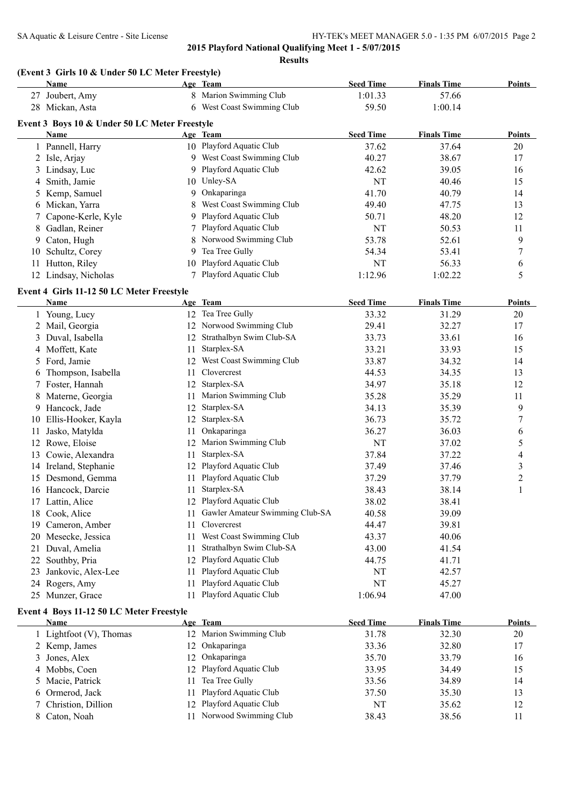## **(Event 3 Girls 10 & Under 50 LC Meter Freestyle)**

|    | <b>Name</b>                                   |    | Age Team                    | <b>Seed Time</b> | <b>Finals Time</b> | <b>Points</b> |
|----|-----------------------------------------------|----|-----------------------------|------------------|--------------------|---------------|
|    | 27 Joubert, Amy                               |    | 8 Marion Swimming Club      | 1:01.33          | 57.66              |               |
|    | 28 Mickan, Asta                               | 6  | West Coast Swimming Club    | 59.50            | 1:00.14            |               |
|    | Event 3 Boys 10 & Under 50 LC Meter Freestyle |    |                             |                  |                    |               |
|    | <b>Name</b>                                   |    | Age Team                    | <b>Seed Time</b> | <b>Finals Time</b> | <b>Points</b> |
|    | 1 Pannell, Harry                              |    | 10 Playford Aquatic Club    | 37.62            | 37.64              | 20            |
|    | 2 Isle, Arjay                                 | 9  | West Coast Swimming Club    | 40.27            | 38.67              | 17            |
|    | 3 Lindsay, Luc                                |    | 9 Playford Aquatic Club     | 42.62            | 39.05              | 16            |
|    | Smith, Jamie                                  | 10 | Unley-SA                    | NT               | 40.46              | 15            |
|    | Kemp, Samuel                                  | 9  | Onkaparinga                 | 41.70            | 40.79              | 14            |
|    | 6 Mickan, Yarra                               |    | West Coast Swimming Club    | 49.40            | 47.75              | 13            |
|    | 7 Capone-Kerle, Kyle                          | 9  | Playford Aquatic Club       | 50.71            | 48.20              | 12            |
|    | 8 Gadlan, Reiner                              |    | Playford Aquatic Club       | NT               | 50.53              | 11            |
| 9. | Caton, Hugh                                   |    | 8 Norwood Swimming Club     | 53.78            | 52.61              | 9             |
| 10 | Schultz, Corey                                | 9  | Tea Tree Gully              | 54.34            | 53.41              | 7             |
| 11 | Hutton, Riley                                 |    | 10 Playford Aquatic Club    | NT               | 56.33              | 6             |
|    | 12 Lindsay, Nicholas                          |    | Playford Aquatic Club       | 1:12.96          | 1:02.22            | 5             |
|    | Event 4 Girls 11-12 50 LC Meter Freestyle     |    |                             |                  |                    |               |
|    | Name                                          |    | Age Team                    | <b>Seed Time</b> | <b>Finals Time</b> | <b>Points</b> |
|    | Young, Lucy                                   |    | 12 Tea Tree Gully           | 33.32            | 31.29              | 20            |
|    | Mail, Georgia                                 |    | 12 Norwood Swimming Club    | 29.41            | 32.27              | 17            |
|    | 3 Duval, Isabella                             |    | 12 Strathalbyn Swim Club-SA | 33.73            | 33.61              | 16            |
|    | $\Delta$ Moffett Kate                         |    | 11 Starnlex-SA              | 33.21            | 33.93              | 15            |

|     | <i>viali, Occigia</i>   |    | $1101$ WOOG DWITHING CRO        | 47.TI     | ا ہے۔ ک | $\mathbf{1}$ |
|-----|-------------------------|----|---------------------------------|-----------|---------|--------------|
|     | Duval, Isabella         | 12 | Strathalbyn Swim Club-SA        | 33.73     | 33.61   | 16           |
|     | Moffett, Kate<br>4      | 11 | Starplex-SA                     | 33.21     | 33.93   | 15           |
|     | Ford, Jamie<br>5.       | 12 | West Coast Swimming Club        | 33.87     | 34.32   | 14           |
|     | Thompson, Isabella<br>6 | 11 | Clovercrest                     | 44.53     | 34.35   | 13           |
|     | Foster, Hannah          | 12 | Starplex-SA                     | 34.97     | 35.18   | 12           |
|     | Materne, Georgia        | 11 | Marion Swimming Club            | 35.28     | 35.29   | 11           |
| 9   | Hancock, Jade           | 12 | Starplex-SA                     | 34.13     | 35.39   | 9            |
| 10  | Ellis-Hooker, Kayla     | 12 | Starplex-SA                     | 36.73     | 35.72   | 7            |
| 11  | Jasko, Matylda          | 11 | Onkaparinga                     | 36.27     | 36.03   | 6            |
| 12  | Rowe, Eloise            | 12 | Marion Swimming Club            | <b>NT</b> | 37.02   | 5            |
| 13  | Cowie, Alexandra        | 11 | Starplex-SA                     | 37.84     | 37.22   | 4            |
| 14  | Ireland, Stephanie      | 12 | Playford Aquatic Club           | 37.49     | 37.46   | 3            |
| 15  | Desmond, Gemma          | 11 | Playford Aquatic Club           | 37.29     | 37.79   | 2            |
| 16  | Hancock, Darcie         | 11 | Starplex-SA                     | 38.43     | 38.14   |              |
|     | Lattin, Alice           | 12 | Playford Aquatic Club           | 38.02     | 38.41   |              |
| 18  | Cook, Alice             | 11 | Gawler Amateur Swimming Club-SA | 40.58     | 39.09   |              |
| 19  | Cameron, Amber          | 11 | Clovercrest                     | 44.47     | 39.81   |              |
| 20  | Mesecke, Jessica        | 11 | West Coast Swimming Club        | 43.37     | 40.06   |              |
| 21  | Duval, Amelia           | 11 | Strathalbyn Swim Club-SA        | 43.00     | 41.54   |              |
|     | Southby, Pria           | 12 | Playford Aquatic Club           | 44.75     | 41.71   |              |
| 23  | Jankovic, Alex-Lee      | 11 | Playford Aquatic Club           | NT        | 42.57   |              |
|     | 24 Rogers, Amy          | 11 | Playford Aquatic Club           | NT        | 45.27   |              |
| 25. | Munzer, Grace           | 11 | Playford Aquatic Club           | 1:06.94   | 47.00   |              |

### **Event 4 Boys 11-12 50 LC Meter Freestyle**

| <b>Name</b>                | Age Team                    | <b>Seed Time</b> | <b>Finals Time</b> | <b>Points</b> |
|----------------------------|-----------------------------|------------------|--------------------|---------------|
| 1 Lightfoot $(V)$ , Thomas | 12 Marion Swimming Club     | 31.78            | 32.30              | 20            |
| 2 Kemp, James              | 12 Onkaparinga              | 33.36            | 32.80              | 17            |
| 3 Jones, Alex              | 12 Onkaparinga              | 35.70            | 33.79              | 16            |
| 4 Mobbs, Coen              | 12 Playford Aquatic Club    | 33.95            | 34.49              | 15            |
| 5 Macie, Patrick           | Tea Tree Gully<br>11.       | 33.56            | 34.89              | 14            |
| 6 Ormerod, Jack            | Playford Aquatic Club<br>11 | 37.50            | 35.30              | 13            |
| 7 Christion, Dillion       | 12 Playford Aquatic Club    | NT               | 35.62              | 12            |
| 8 Caton, Noah              | 11 Norwood Swimming Club    | 38.43            | 38.56              | 11            |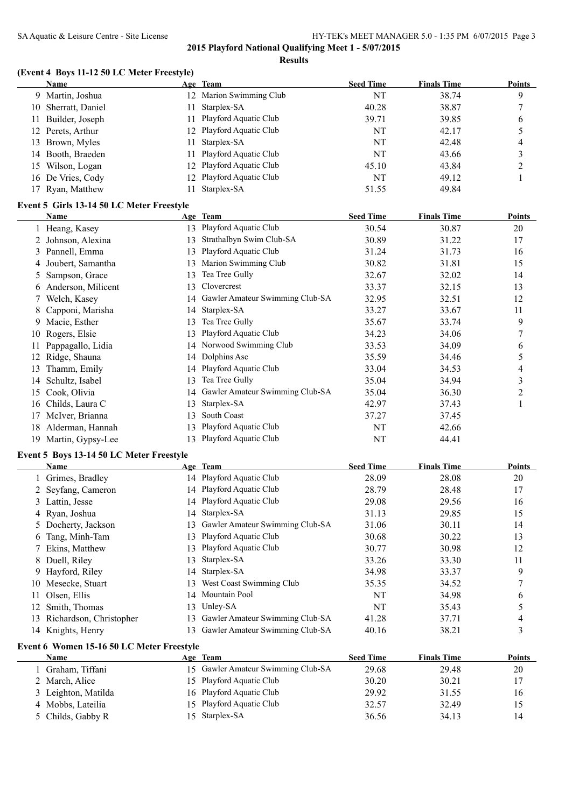# **(Event 4 Boys 11-12 50 LC Meter Freestyle)**

|    | <b>Name</b>                               |    | Age Team                        | <b>Seed Time</b> | <b>Finals Time</b> | <b>Points</b>  |
|----|-------------------------------------------|----|---------------------------------|------------------|--------------------|----------------|
| 9. | Martin, Joshua                            |    | Marion Swimming Club            | NT               | 38.74              | 9              |
| 10 | Sherratt, Daniel                          | 11 | Starplex-SA                     | 40.28            | 38.87              | 7              |
| 11 | Builder, Joseph                           | 11 | Playford Aquatic Club           | 39.71            | 39.85              | 6              |
| 12 | Perets, Arthur                            | 12 | Playford Aquatic Club           | NT               | 42.17              | 5              |
| 13 | Brown, Myles                              | 11 | Starplex-SA                     | NT               | 42.48              | 4              |
| 14 | Booth, Braeden                            | 11 | Playford Aquatic Club           | NT               | 43.66              | 3              |
| 15 | Wilson, Logan                             | 12 | Playford Aquatic Club           | 45.10            | 43.84              | 2              |
| 16 | De Vries, Cody                            | 12 | Playford Aquatic Club           | NT               | 49.12              | $\mathbf{1}$   |
| 17 | Ryan, Matthew                             | 11 | Starplex-SA                     | 51.55            | 49.84              |                |
|    | Event 5 Girls 13-14 50 LC Meter Freestyle |    |                                 |                  |                    |                |
|    | Name                                      |    | Age Team                        | <b>Seed Time</b> | <b>Finals Time</b> | <b>Points</b>  |
|    | Heang, Kasey                              | 13 | Playford Aquatic Club           | 30.54            | 30.87              | 20             |
| 2  | Johnson, Alexina                          | 13 | Strathalbyn Swim Club-SA        | 30.89            | 31.22              | 17             |
| 3  | Pannell, Emma                             | 13 | Playford Aquatic Club           | 31.24            | 31.73              | 16             |
| 4  | Joubert, Samantha                         | 13 | Marion Swimming Club            | 30.82            | 31.81              | 15             |
| 5  | Sampson, Grace                            | 13 | Tea Tree Gully                  | 32.67            | 32.02              | 14             |
| 6  | Anderson, Milicent                        | 13 | Clovercrest                     | 33.37            | 32.15              | 13             |
| 7  | Welch, Kasey                              | 14 | Gawler Amateur Swimming Club-SA | 32.95            | 32.51              | 12             |
|    | Capponi, Marisha                          | 14 | Starplex-SA                     | 33.27            | 33.67              | 11             |
| 9  | Macie, Esther                             | 13 | Tea Tree Gully                  | 35.67            | 33.74              | 9              |
| 10 | Rogers, Elsie                             | 13 | Playford Aquatic Club           | 34.23            | 34.06              | 7              |
| 11 | Pappagallo, Lidia                         | 14 | Norwood Swimming Club           | 33.53            | 34.09              | 6              |
| 12 | Ridge, Shauna                             | 14 | Dolphins Asc                    | 35.59            | 34.46              | 5              |
| 13 | Thamm, Emily                              | 14 | Playford Aquatic Club           | 33.04            | 34.53              | 4              |
| 14 | Schultz, Isabel                           | 13 | Tea Tree Gully                  | 35.04            | 34.94              | 3              |
| 15 | Cook, Olivia                              | 14 | Gawler Amateur Swimming Club-SA | 35.04            | 36.30              | $\overline{c}$ |
| 16 | Childs, Laura C                           | 13 | Starplex-SA                     | 42.97            | 37.43              | $\mathbf{1}$   |
| 17 | McIver, Brianna                           | 13 | South Coast                     | 37.27            | 37.45              |                |
| 18 | Alderman, Hannah                          | 13 | Playford Aquatic Club           | NT               | 42.66              |                |
|    | 19 Martin, Gypsy-Lee                      | 13 | Playford Aquatic Club           | NT               | 44.41              |                |
|    |                                           |    |                                 |                  |                    |                |

### **Event 5 Boys 13-14 50 LC Meter Freestyle**

|     | <b>Name</b>             |     | Age Team                        | <b>Seed Time</b> | <b>Finals Time</b> | <b>Points</b> |
|-----|-------------------------|-----|---------------------------------|------------------|--------------------|---------------|
|     | 1 Grimes, Bradley       |     | 14 Playford Aquatic Club        | 28.09            | 28.08              | 20            |
|     | 2 Seyfang, Cameron      |     | 14 Playford Aquatic Club        | 28.79            | 28.48              | 17            |
|     | 3 Lattin, Jesse         |     | 14 Playford Aquatic Club        | 29.08            | 29.56              | 16            |
|     | 4 Ryan, Joshua          |     | 14 Starplex-SA                  | 31.13            | 29.85              | 15            |
|     | 5 Docherty, Jackson     | 13. | Gawler Amateur Swimming Club-SA | 31.06            | 30.11              | 14            |
| 6   | Tang, Minh-Tam          | 13. | Playford Aquatic Club           | 30.68            | 30.22              | 13            |
|     | 7 Ekins, Matthew        | 13. | Playford Aquatic Club           | 30.77            | 30.98              | 12            |
|     | 8 Duell, Riley          | 13. | Starplex-SA                     | 33.26            | 33.30              | 11            |
|     | 9 Hayford, Riley        |     | 14 Starplex-SA                  | 34.98            | 33.37              | 9             |
| 10  | Mesecke, Stuart         | 13. | West Coast Swimming Club        | 35.35            | 34.52              |               |
| 11  | Olsen, Ellis            | 14  | Mountain Pool                   | NT               | 34.98              | 6             |
| 12  | Smith, Thomas           | 13. | Unley-SA                        | NT               | 35.43              |               |
| 13. | Richardson, Christopher | 13. | Gawler Amateur Swimming Club-SA | 41.28            | 37.71              |               |
|     | 14 Knights, Henry       | 13. | Gawler Amateur Swimming Club-SA | 40.16            | 38.21              | 3             |
|     |                         |     |                                 |                  |                    |               |

#### **Event 6 Women 15-16 50 LC Meter Freestyle**

| Name                | Age Team                           | <b>Seed Time</b> | <b>Finals Time</b> | Points |
|---------------------|------------------------------------|------------------|--------------------|--------|
| Graham, Tiffani     | 15 Gawler Amateur Swimming Club-SA | 29.68            | 29.48              | 20     |
| 2 March, Alice      | 15 Playford Aquatic Club           | 30.20            | 30.21              | 17     |
| 3 Leighton, Matilda | 16 Playford Aquatic Club           | 29.92            | 31.55              | 16     |
| 4 Mobbs, Lateilia   | 15 Playford Aquatic Club           | 32.57            | 32.49              | 15     |
| 5 Childs, Gabby R   | 15 Starplex-SA                     | 36.56            | 34.13              | 14     |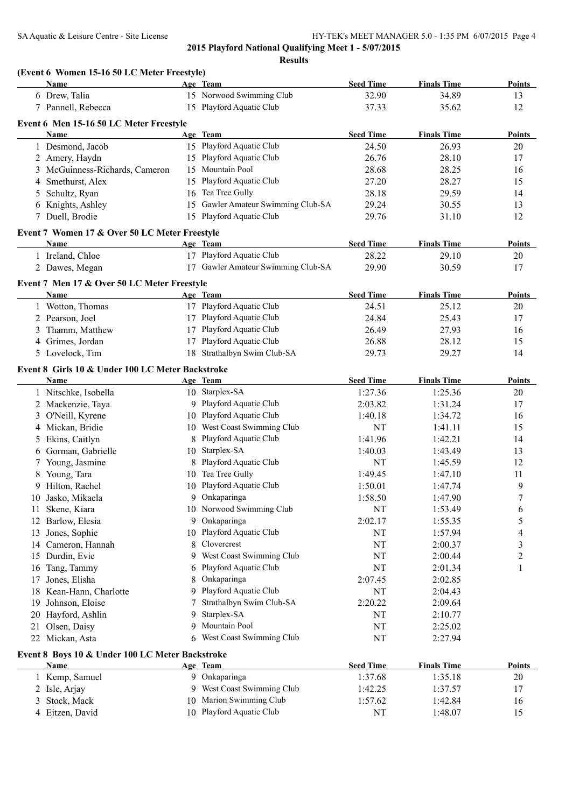|    | <b>Name</b>                                             |    | Age Team                           | <b>Seed Time</b>   | <b>Finals Time</b> | <b>Points</b>       |
|----|---------------------------------------------------------|----|------------------------------------|--------------------|--------------------|---------------------|
|    | 6 Drew, Talia                                           |    | 15 Norwood Swimming Club           | 32.90              | 34.89              | 13                  |
|    | 7 Pannell, Rebecca                                      |    | 15 Playford Aquatic Club           | 37.33              | 35.62              | 12                  |
|    | Event 6 Men 15-16 50 LC Meter Freestyle                 |    |                                    |                    |                    |                     |
|    | <b>Name</b>                                             |    | Age Team                           | <b>Seed Time</b>   | <b>Finals Time</b> | <b>Points</b>       |
|    | 1 Desmond, Jacob                                        |    | 15 Playford Aquatic Club           | 24.50              | 26.93              | 20                  |
|    | 2 Amery, Haydn                                          |    | 15 Playford Aquatic Club           | 26.76              | 28.10              | 17                  |
|    | 3 McGuinness-Richards, Cameron                          |    | 15 Mountain Pool                   | 28.68              | 28.25              | 16                  |
| 4  | Smethurst, Alex                                         |    | 15 Playford Aquatic Club           | 27.20              | 28.27              | 15                  |
| 5  | Schultz, Ryan                                           |    | 16 Tea Tree Gully                  | 28.18              | 29.59              | 14                  |
| 6  | Knights, Ashley                                         |    | 15 Gawler Amateur Swimming Club-SA | 29.24              | 30.55              | 13                  |
|    | 7 Duell, Brodie                                         |    | 15 Playford Aquatic Club           | 29.76              | 31.10              | 12                  |
|    | Event 7 Women 17 & Over 50 LC Meter Freestyle           |    |                                    |                    |                    |                     |
|    | <b>Name</b>                                             |    | Age Team                           | <b>Seed Time</b>   | <b>Finals Time</b> | Points              |
|    | 1 Ireland, Chloe                                        |    | 17 Playford Aquatic Club           | 28.22              | 29.10              | 20                  |
|    | 2 Dawes, Megan                                          |    | 17 Gawler Amateur Swimming Club-SA | 29.90              | 30.59              | 17                  |
|    |                                                         |    |                                    |                    |                    |                     |
|    | Event 7 Men 17 & Over 50 LC Meter Freestyle<br>Name     |    | Age Team                           | <b>Seed Time</b>   | <b>Finals Time</b> | <b>Points</b>       |
|    | 1 Wotton, Thomas                                        |    | 17 Playford Aquatic Club           | 24.51              | 25.12              | 20                  |
|    | 2 Pearson, Joel                                         |    | 17 Playford Aquatic Club           | 24.84              | 25.43              | 17                  |
| 3  | Thamm, Matthew                                          |    | 17 Playford Aquatic Club           | 26.49              | 27.93              | 16                  |
|    | 4 Grimes, Jordan                                        |    | 17 Playford Aquatic Club           | 26.88              | 28.12              | 15                  |
|    | 5 Lovelock, Tim                                         |    | 18 Strathalbyn Swim Club-SA        | 29.73              | 29.27              | 14                  |
|    |                                                         |    |                                    |                    |                    |                     |
|    | Event 8 Girls 10 & Under 100 LC Meter Backstroke        |    |                                    |                    |                    |                     |
|    | Name                                                    |    | Age Team                           | <b>Seed Time</b>   | <b>Finals Time</b> | <b>Points</b>       |
|    | 1 Nitschke, Isobella                                    |    | 10 Starplex-SA                     | 1:27.36            | 1:25.36            | 20                  |
|    | 2 Mackenzie, Taya                                       |    | 9 Playford Aquatic Club            | 2:03.82            | 1:31.24            | 17                  |
| 3  | O'Neill, Kyrene                                         |    | 10 Playford Aquatic Club           | 1:40.18            | 1:34.72            | 16                  |
| 4  | Mickan, Bridie                                          |    | 10 West Coast Swimming Club        | NT                 | 1:41.11            | 15                  |
| 5  | Ekins, Caitlyn                                          |    | Playford Aquatic Club              | 1:41.96            | 1:42.21            | 14                  |
| 6  | Gorman, Gabrielle                                       |    | 10 Starplex-SA                     | 1:40.03            | 1:43.49            | 13                  |
| 7  | Young, Jasmine                                          |    | 8 Playford Aquatic Club            | NT                 | 1:45.59            | 12                  |
|    | Young, Tara                                             |    | 10 Tea Tree Gully                  | 1:49.45            | 1:47.10            | 11                  |
|    | 9 Hilton, Rachel                                        |    | 10 Playford Aquatic Club           | 1:50.01            | 1:47.74            | 9                   |
|    | 10 Jasko, Mikaela                                       |    | 9 Onkaparinga                      | 1:58.50            | 1:47.90            | $\boldsymbol{7}$    |
|    | 11 Skene, Kiara                                         |    | 10 Norwood Swimming Club           | NT                 | 1:53.49            | 6                   |
|    | 12 Barlow, Elesia                                       |    | 9 Onkaparinga                      | 2:02.17            | 1:55.35            | 5                   |
| 13 | Jones, Sophie                                           |    | 10 Playford Aquatic Club           | NT                 | 1:57.94            | 4                   |
| 14 | Cameron, Hannah                                         | 8  | Clovercrest                        | NT                 | 2:00.37            | 3                   |
| 15 | Durdin, Evie                                            | 9. | West Coast Swimming Club           | NT                 | 2:00.44            | 2                   |
| 16 | Tang, Tammy                                             |    | 6 Playford Aquatic Club            | NT                 | 2:01.34            | 1                   |
| 17 | Jones, Elisha                                           | 8  | Onkaparinga                        | 2:07.45            | 2:02.85            |                     |
| 18 | Kean-Hann, Charlotte                                    |    | 9 Playford Aquatic Club            | NT                 | 2:04.43            |                     |
| 19 | Johnson, Eloise                                         |    | Strathalbyn Swim Club-SA           | 2:20.22            | 2:09.64            |                     |
| 20 | Hayford, Ashlin                                         | 9  | Starplex-SA                        | NT                 | 2:10.77            |                     |
| 21 | Olsen, Daisy                                            | 9  | Mountain Pool                      | NT                 | 2:25.02            |                     |
|    | 22 Mickan, Asta                                         |    | 6 West Coast Swimming Club         | NT                 | 2:27.94            |                     |
|    |                                                         |    |                                    |                    |                    |                     |
|    |                                                         |    |                                    |                    |                    |                     |
|    | Event 8 Boys 10 & Under 100 LC Meter Backstroke<br>Name |    | Age Team                           | <b>Seed Time</b>   | <b>Finals Time</b> |                     |
|    | 1 Kemp, Samuel                                          |    | 9 Onkaparinga                      | 1:37.68            | 1:35.18            | 20                  |
|    |                                                         |    | 9 West Coast Swimming Club         |                    |                    | <b>Points</b><br>17 |
| 3  | 2 Isle, Arjay<br>Stock, Mack                            |    | 10 Marion Swimming Club            | 1:42.25<br>1:57.62 | 1:37.57<br>1:42.84 | 16                  |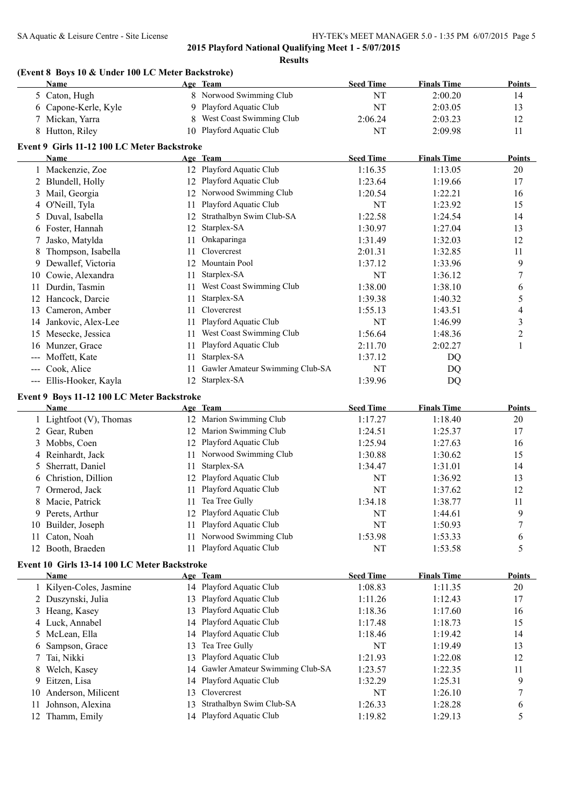#### SA Aquatic & Leisure Centre - Site License HY-TEK's MEET MANAGER 5.0 - 1:35 PM 6/07/2015 Page 5

**2015 Playford National Qualifying Meet 1 - 5/07/2015**

**Results**

# **(Event 8 Boys 10 & Under 100 LC Meter Backstroke)**

|                     | Name                                         |    | Age Team                        | <b>Seed Time</b> | <b>Finals Time</b> | <b>Points</b>  |
|---------------------|----------------------------------------------|----|---------------------------------|------------------|--------------------|----------------|
|                     | 5 Caton, Hugh                                |    | 8 Norwood Swimming Club         | NT               | 2:00.20            | 14             |
|                     | 6 Capone-Kerle, Kyle                         | 9  | Playford Aquatic Club           | <b>NT</b>        | 2:03.05            | 13             |
|                     | 7 Mickan, Yarra                              | 8  | West Coast Swimming Club        | 2:06.24          | 2:03.23            | 12             |
|                     | 8 Hutton, Riley                              | 10 | Playford Aquatic Club           | NT               | 2:09.98            | 11             |
|                     | Event 9 Girls 11-12 100 LC Meter Backstroke  |    |                                 |                  |                    |                |
|                     | Name                                         |    | Age Team                        | <b>Seed Time</b> | <b>Finals Time</b> | Points         |
|                     | 1 Mackenzie, Zoe                             |    | 12 Playford Aquatic Club        | 1:16.35          | 1:13.05            | 20             |
|                     | 2 Blundell, Holly                            |    | 12 Playford Aquatic Club        | 1:23.64          | 1:19.66            | 17             |
|                     | 3 Mail, Georgia                              |    | 12 Norwood Swimming Club        | 1:20.54          | 1:22.21            | 16             |
|                     | 4 O'Neill, Tyla                              | 11 | Playford Aquatic Club           | <b>NT</b>        | 1:23.92            | 15             |
| 5.                  | Duval, Isabella                              | 12 | Strathalbyn Swim Club-SA        | 1:22.58          | 1:24.54            | 14             |
|                     | 6 Foster, Hannah                             | 12 | Starplex-SA                     | 1:30.97          | 1:27.04            | 13             |
| 7                   | Jasko, Matylda                               | 11 | Onkaparinga                     | 1:31.49          | 1:32.03            | 12             |
| 8                   | Thompson, Isabella                           | 11 | Clovercrest                     | 2:01.31          | 1:32.85            | 11             |
|                     | 9 Dewallef, Victoria                         | 12 | Mountain Pool                   | 1:37.12          | 1:33.96            | 9              |
|                     | 10 Cowie, Alexandra                          | 11 | Starplex-SA                     | NT               | 1:36.12            | 7              |
| 11                  |                                              | 11 | West Coast Swimming Club        | 1:38.00          | 1:38.10            |                |
|                     | Durdin, Tasmin                               |    |                                 |                  |                    | 6              |
|                     | 12 Hancock, Darcie                           | 11 | Starplex-SA<br>Clovercrest      | 1:39.38          | 1:40.32            | 5              |
|                     | 13 Cameron, Amber                            | 11 |                                 | 1:55.13          | 1:43.51            | 4              |
|                     | 14 Jankovic, Alex-Lee                        | 11 | Playford Aquatic Club           | NT               | 1:46.99            | $\mathfrak{Z}$ |
|                     | 15 Mesecke, Jessica                          | 11 | West Coast Swimming Club        | 1:56.64          | 1:48.36            | $\overline{c}$ |
|                     | 16 Munzer, Grace                             | 11 | Playford Aquatic Club           | 2:11.70          | 2:02.27            | $\mathbf{1}$   |
|                     | Moffett, Kate                                | 11 | Starplex-SA                     | 1:37.12          | DQ                 |                |
| $\qquad \qquad - -$ | Cook, Alice                                  | 11 | Gawler Amateur Swimming Club-SA | NT               | DQ                 |                |
|                     | --- Ellis-Hooker, Kayla                      | 12 | Starplex-SA                     | 1:39.96          | DQ                 |                |
|                     | Event 9 Boys 11-12 100 LC Meter Backstroke   |    |                                 |                  |                    |                |
|                     | Name                                         |    | Age Team                        | <b>Seed Time</b> | <b>Finals Time</b> | <b>Points</b>  |
|                     | 1 Lightfoot (V), Thomas                      |    | 12 Marion Swimming Club         | 1:17.27          | 1:18.40            | 20             |
|                     | 2 Gear, Ruben                                |    | 12 Marion Swimming Club         | 1:24.51          | 1:25.37            | 17             |
|                     | 3 Mobbs, Coen                                | 12 | Playford Aquatic Club           | 1:25.94          | 1:27.63            | 16             |
|                     | 4 Reinhardt, Jack                            | 11 | Norwood Swimming Club           | 1:30.88          | 1:30.62            | 15             |
| 5                   | Sherratt, Daniel                             | 11 | Starplex-SA                     | 1:34.47          | 1:31.01            | 14             |
|                     | 6 Christion, Dillion                         | 12 | Playford Aquatic Club           | NT               | 1:36.92            | 13             |
| 7                   | Ormerod, Jack                                | 11 | Playford Aquatic Club           | NT               | 1:37.62            | 12             |
|                     | 8 Macie, Patrick                             |    | 11 Tea Tree Gully               | 1:34.18          | 1:38.77            | 11             |
|                     | 9 Perets, Arthur                             |    | 12 Playford Aquatic Club        | NT               | 1:44.61            | 9              |
|                     | 10 Builder, Joseph                           | 11 | Playford Aquatic Club           | NT               | 1:50.93            | $\sqrt{ }$     |
| 11.                 | Caton, Noah                                  | 11 | Norwood Swimming Club           | 1:53.98          | 1:53.33            | 6              |
|                     | 12 Booth, Braeden                            | 11 | Playford Aquatic Club           | NT               | 1:53.58            | 5              |
|                     | Event 10 Girls 13-14 100 LC Meter Backstroke |    |                                 |                  |                    |                |
|                     | Name                                         |    | Age Team                        | <b>Seed Time</b> | <b>Finals Time</b> | <b>Points</b>  |
|                     | 1 Kilyen-Coles, Jasmine                      |    | 14 Playford Aquatic Club        | 1:08.83          | 1:11.35            | 20             |
|                     | 2 Duszynski, Julia                           | 13 | Playford Aquatic Club           | 1:11.26          | 1:12.43            | 17             |
|                     | 3 Heang, Kasey                               | 13 | Playford Aquatic Club           | 1:18.36          | 1:17.60            | 16             |
|                     | 4 Luck, Annabel                              | 14 | Playford Aquatic Club           | 1:17.48          | 1:18.73            | 15             |
|                     | 5 McLean, Ella                               | 14 | Playford Aquatic Club           | 1:18.46          | 1:19.42            | 14             |
| 6                   | Sampson, Grace                               | 13 | Tea Tree Gully                  | NT               | 1:19.49            | 13             |
|                     | Tai, Nikki                                   | 13 | Playford Aquatic Club           | 1:21.93          | 1:22.08            | 12             |
| 8                   | Welch, Kasey                                 | 14 | Gawler Amateur Swimming Club-SA | 1:23.57          | 1:22.35            | 11             |
|                     | 9 Eitzen, Lisa                               | 14 | Playford Aquatic Club           | 1:32.29          | 1:25.31            | 9              |
| 10                  | Anderson, Milicent                           | 13 | Clovercrest                     | NT               | 1:26.10            | 7              |
|                     | Johnson, Alexina                             | 13 | Strathalbyn Swim Club-SA        | 1:26.33          | 1:28.28            |                |
| 11                  | 12 Thamm, Emily                              |    | 14 Playford Aquatic Club        | 1:19.82          | 1:29.13            | 6<br>5         |
|                     |                                              |    |                                 |                  |                    |                |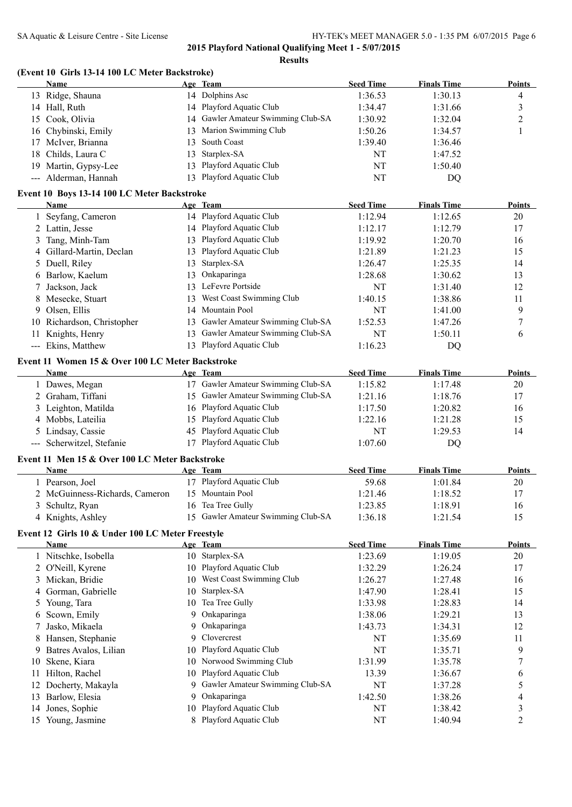|     | (Event 10 Girls 13-14 100 LC Meter Backstroke)<br>Name |    | Age Team                           | <b>Seed Time</b> | <b>Finals Time</b> | Points                   |
|-----|--------------------------------------------------------|----|------------------------------------|------------------|--------------------|--------------------------|
|     | 13 Ridge, Shauna                                       |    | 14 Dolphins Asc                    | 1:36.53          | 1:30.13            | 4                        |
|     | 14 Hall, Ruth                                          |    | 14 Playford Aquatic Club           | 1:34.47          | 1:31.66            | 3                        |
|     | 15 Cook, Olivia                                        |    | 14 Gawler Amateur Swimming Club-SA | 1:30.92          | 1:32.04            | $\overline{2}$           |
|     | 16 Chybinski, Emily                                    |    | Marion Swimming Club               | 1:50.26          | 1:34.57            | 1                        |
|     |                                                        | 13 | South Coast                        |                  |                    |                          |
| 17  | McIver, Brianna                                        | 13 |                                    | 1:39.40          | 1:36.46            |                          |
|     | 18 Childs, Laura C                                     | 13 | Starplex-SA                        | NT               | 1:47.52            |                          |
|     | 19 Martin, Gypsy-Lee                                   | 13 | Playford Aquatic Club              | NT               | 1:50.40            |                          |
|     | --- Alderman, Hannah                                   |    | 13 Playford Aquatic Club           | NT               | DQ                 |                          |
|     | Event 10 Boys 13-14 100 LC Meter Backstroke            |    |                                    |                  |                    |                          |
|     | Name                                                   |    | Age Team                           | <b>Seed Time</b> | <b>Finals Time</b> | Points                   |
|     | 1 Seyfang, Cameron                                     |    | 14 Playford Aquatic Club           | 1:12.94          | 1:12.65            | 20                       |
|     | 2 Lattin, Jesse                                        |    | 14 Playford Aquatic Club           | 1:12.17          | 1:12.79            | 17                       |
| 3   | Tang, Minh-Tam                                         |    | 13 Playford Aquatic Club           | 1:19.92          | 1:20.70            | 16                       |
| 4   | Gillard-Martin, Declan                                 | 13 | Playford Aquatic Club              | 1:21.89          | 1:21.23            | 15                       |
| 5   | Duell, Riley                                           | 13 | Starplex-SA                        | 1:26.47          | 1:25.35            | 14                       |
|     | 6 Barlow, Kaelum                                       | 13 | Onkaparinga                        | 1:28.68          | 1:30.62            | 13                       |
| 7   | Jackson, Jack                                          |    | 13 LeFevre Portside                | NT               | 1:31.40            | 12                       |
|     | 8 Mesecke, Stuart                                      | 13 | West Coast Swimming Club           | 1:40.15          | 1:38.86            | 11                       |
|     | 9 Olsen, Ellis                                         | 14 | Mountain Pool                      | NT               | 1:41.00            | 9                        |
|     | 10 Richardson, Christopher                             | 13 | Gawler Amateur Swimming Club-SA    | 1:52.53          | 1:47.26            | $\boldsymbol{7}$         |
| 11  | Knights, Henry                                         | 13 | Gawler Amateur Swimming Club-SA    | NT               | 1:50.11            | 6                        |
|     | --- Ekins, Matthew                                     |    | 13 Playford Aquatic Club           | 1:16.23          | DQ                 |                          |
|     | Event 11 Women 15 & Over 100 LC Meter Backstroke       |    |                                    |                  |                    |                          |
|     | Name                                                   |    | Age Team                           | <b>Seed Time</b> | <b>Finals Time</b> | Points                   |
|     | 1 Dawes, Megan                                         |    | 17 Gawler Amateur Swimming Club-SA | 1:15.82          | 1:17.48            | 20                       |
|     | 2 Graham, Tiffani                                      |    | 15 Gawler Amateur Swimming Club-SA | 1:21.16          | 1:18.76            | 17                       |
|     | 3 Leighton, Matilda                                    |    | 16 Playford Aquatic Club           | 1:17.50          | 1:20.82            | 16                       |
|     | 4 Mobbs, Lateilia                                      |    | 15 Playford Aquatic Club           | 1:22.16          | 1:21.28            | 15                       |
|     | 5 Lindsay, Cassie                                      |    | 45 Playford Aquatic Club           | NT               | 1:29.53            | 14                       |
|     | --- Scherwitzel, Stefanie                              |    | 17 Playford Aquatic Club           | 1:07.60          | DQ                 |                          |
|     |                                                        |    |                                    |                  |                    |                          |
|     | Event 11 Men 15 & Over 100 LC Meter Backstroke<br>Name |    | Age Team                           | <b>Seed Time</b> | <b>Finals Time</b> | Points                   |
|     | 1 Pearson, Joel                                        |    | 17 Playford Aquatic Club           | 59.68            | 1:01.84            | 20                       |
|     |                                                        |    |                                    |                  |                    |                          |
|     | 2 McGuinness-Richards, Cameron 15 Mountain Pool        |    |                                    | 1:21.46          | 1:18.52            | 17                       |
|     | 3 Schultz, Ryan                                        |    | 16 Tea Tree Gully                  | 1:23.85          | 1:18.91            | 16                       |
|     | 4 Knights, Ashley                                      |    | 15 Gawler Amateur Swimming Club-SA | 1:36.18          | 1:21.54            | 15                       |
|     | Event 12 Girls 10 & Under 100 LC Meter Freestyle       |    |                                    |                  |                    |                          |
|     | Name                                                   |    | Age Team                           | <b>Seed Time</b> | <b>Finals Time</b> | <b>Points</b>            |
|     | 1 Nitschke, Isobella                                   |    | 10 Starplex-SA                     | 1:23.69          | 1:19.05            | 20                       |
|     | 2 O'Neill, Kyrene                                      |    | 10 Playford Aquatic Club           | 1:32.29          | 1:26.24            | 17                       |
| 3   | Mickan, Bridie                                         |    | 10 West Coast Swimming Club        | 1:26.27          | 1:27.48            | 16                       |
| 4   | Gorman, Gabrielle                                      | 10 | Starplex-SA                        | 1:47.90          | 1:28.41            | 15                       |
| 5   | Young, Tara                                            | 10 | Tea Tree Gully                     | 1:33.98          | 1:28.83            | 14                       |
| 6   | Scown, Emily                                           | 9  | Onkaparinga                        | 1:38.06          | 1:29.21            | 13                       |
| 7   | Jasko, Mikaela                                         | 9  | Onkaparinga                        | 1:43.73          | 1:34.31            | 12                       |
|     | 8 Hansen, Stephanie                                    | 9  | Clovercrest                        | NT               | 1:35.69            | 11                       |
| 9.  | Batres Avalos, Lilian                                  | 10 | Playford Aquatic Club              | NT               | 1:35.71            | 9                        |
| 10  | Skene, Kiara                                           | 10 | Norwood Swimming Club              | 1:31.99          | 1:35.78            | $\boldsymbol{7}$         |
| 11. | Hilton, Rachel                                         | 10 | Playford Aquatic Club              | 13.39            | 1:36.67            | 6                        |
| 12  | Docherty, Makayla                                      | 9  | Gawler Amateur Swimming Club-SA    | NT               | 1:37.28            | $\sqrt{5}$               |
|     | 13 Barlow, Elesia                                      | 9  | Onkaparinga                        | 1:42.50          | 1:38.26            | $\overline{\mathcal{L}}$ |
|     | 14 Jones, Sophie                                       | 10 | Playford Aquatic Club              | NT               | 1:38.42            | $\mathfrak{Z}$           |
|     | 15 Young, Jasmine                                      |    | Playford Aquatic Club              | NT               | 1:40.94            | $\overline{2}$           |
|     |                                                        |    |                                    |                  |                    |                          |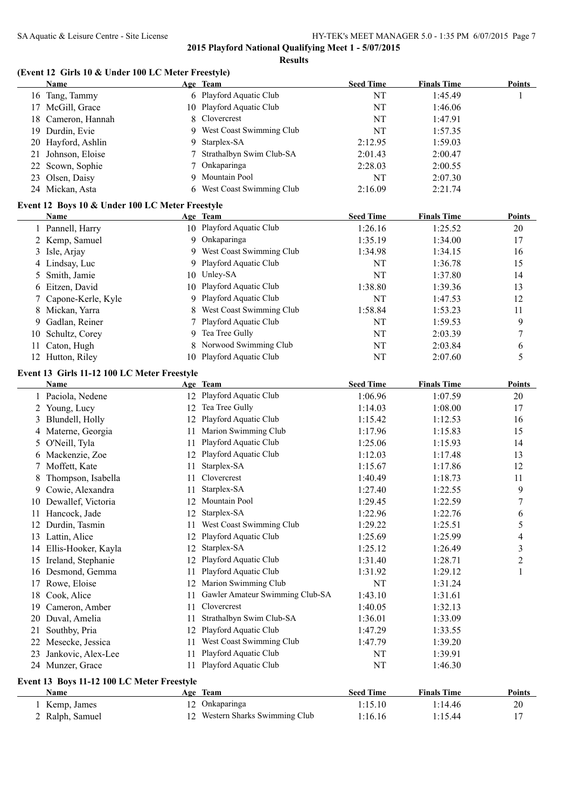# **(Event 12 Girls 10 & Under 100 LC Meter Freestyle)**

|     | Name                                            |     | Age Team                        | <b>Seed Time</b> | <b>Finals Time</b> | <b>Points</b>  |
|-----|-------------------------------------------------|-----|---------------------------------|------------------|--------------------|----------------|
|     | 16 Tang, Tammy                                  |     | 6 Playford Aquatic Club         | <b>NT</b>        | 1:45.49            | 1              |
|     | 17 McGill, Grace                                |     | 10 Playford Aquatic Club        | NT               | 1:46.06            |                |
| 18  | Cameron, Hannah                                 | 8   | Clovercrest                     | NT               | 1:47.91            |                |
|     | 19 Durdin, Evie                                 | 9   | West Coast Swimming Club        | NT               | 1:57.35            |                |
|     | 20 Hayford, Ashlin                              | 9   | Starplex-SA                     | 2:12.95          | 1:59.03            |                |
|     | 21 Johnson, Eloise                              |     | Strathalbyn Swim Club-SA        | 2:01.43          | 2:00.47            |                |
|     | 22 Scown, Sophie                                |     | Onkaparinga                     | 2:28.03          | 2:00.55            |                |
|     |                                                 | 9   | Mountain Pool                   | NT               | 2:07.30            |                |
| 23  | Olsen, Daisy                                    |     | 6 West Coast Swimming Club      |                  |                    |                |
|     | 24 Mickan, Asta                                 |     |                                 | 2:16.09          | 2:21.74            |                |
|     | Event 12 Boys 10 & Under 100 LC Meter Freestyle |     |                                 |                  |                    |                |
|     | <b>Name</b>                                     |     | Age Team                        | <b>Seed Time</b> | <b>Finals Time</b> | <b>Points</b>  |
|     | 1 Pannell, Harry                                |     | 10 Playford Aquatic Club        | 1:26.16          | 1:25.52            | 20             |
|     | 2 Kemp, Samuel                                  | 9   | Onkaparinga                     | 1:35.19          | 1:34.00            | 17             |
|     | 3 Isle, Arjay                                   | 9   | West Coast Swimming Club        | 1:34.98          | 1:34.15            | 16             |
|     | 4 Lindsay, Luc                                  |     | 9 Playford Aquatic Club         | NT               | 1:36.78            | 15             |
| 5   | Smith, Jamie                                    |     | 10 Unley-SA                     | <b>NT</b>        | 1:37.80            | 14             |
| 6   | Eitzen, David                                   | 10  | Playford Aquatic Club           | 1:38.80          | 1:39.36            | 13             |
|     | Capone-Kerle, Kyle                              | 9   | Playford Aquatic Club           | <b>NT</b>        | 1:47.53            | 12             |
| 7   |                                                 |     | West Coast Swimming Club        |                  |                    |                |
|     | 8 Mickan, Yarra                                 |     |                                 | 1:58.84          | 1:53.23            | 11             |
| 9   | Gadlan, Reiner                                  |     | Playford Aquatic Club           | <b>NT</b>        | 1:59.53            | 9              |
| 10  | Schultz, Corey                                  | 9   | Tea Tree Gully                  | <b>NT</b>        | 2:03.39            | $\tau$         |
| 11  | Caton, Hugh                                     | 8   | Norwood Swimming Club           | <b>NT</b>        | 2:03.84            | 6              |
|     | 12 Hutton, Riley                                | 10  | Playford Aquatic Club           | NT               | 2:07.60            | 5              |
|     | Event 13 Girls 11-12 100 LC Meter Freestyle     |     |                                 |                  |                    |                |
|     | Name                                            |     | Age Team                        | <b>Seed Time</b> | <b>Finals Time</b> | <b>Points</b>  |
|     | 1 Paciola, Nedene                               |     | 12 Playford Aquatic Club        | 1:06.96          | 1:07.59            | 20             |
|     | 2 Young, Lucy                                   | 12  | Tea Tree Gully                  | 1:14.03          | 1:08.00            | 17             |
|     | 3 Blundell, Holly                               | 12  | Playford Aquatic Club           | 1:15.42          | 1:12.53            | 16             |
|     |                                                 | 11  | Marion Swimming Club            | 1:17.96          | 1:15.83            | 15             |
|     | 4 Materne, Georgia                              | 11  | Playford Aquatic Club           |                  |                    |                |
|     | 5 O'Neill, Tyla                                 |     |                                 | 1:25.06          | 1:15.93            | 14             |
|     | 6 Mackenzie, Zoe                                |     | 12 Playford Aquatic Club        | 1:12.03          | 1:17.48            | 13             |
|     | 7 Moffett, Kate                                 | 11  | Starplex-SA                     | 1:15.67          | 1:17.86            | 12             |
| 8   | Thompson, Isabella                              | 11  | Clovercrest                     | 1:40.49          | 1:18.73            | 11             |
| 9   | Cowie, Alexandra                                | 11  | Starplex-SA                     | 1:27.40          | 1:22.55            | 9              |
|     | 10 Dewallef, Victoria                           |     | 12 Mountain Pool                | 1:29.45          | 1:22.59            | $\overline{7}$ |
|     | 11 Hancock, Jade                                |     | 12 Starplex-SA                  | 1:22.96          | 1:22.76            | 6              |
|     | 12 Durdin, Tasmin                               | 11. | West Coast Swimming Club        | 1:29.22          | 1:25.51            | 5              |
|     | 13 Lattin, Alice                                | 12  | Playford Aquatic Club           | 1:25.69          | 1:25.99            | 4              |
|     | 14 Ellis-Hooker, Kayla                          | 12  | Starplex-SA                     | 1:25.12          | 1:26.49            | 3              |
|     | 15 Ireland, Stephanie                           | 12  | Playford Aquatic Club           | 1:31.40          | 1:28.71            | 2              |
|     | 16 Desmond, Gemma                               | 11  | Playford Aquatic Club           | 1:31.92          | 1:29.12            | 1              |
|     | 17 Rowe, Eloise                                 |     | 12 Marion Swimming Club         | NT               | 1:31.24            |                |
| 18  | Cook, Alice                                     | 11  | Gawler Amateur Swimming Club-SA | 1:43.10          | 1:31.61            |                |
| 19. | Cameron, Amber                                  | 11  | Clovercrest                     | 1:40.05          | 1:32.13            |                |
| 20  | Duval, Amelia                                   | 11  | Strathalbyn Swim Club-SA        | 1:36.01          | 1:33.09            |                |
| 21  | Southby, Pria                                   | 12  | Playford Aquatic Club           | 1:47.29          | 1:33.55            |                |
|     |                                                 |     | West Coast Swimming Club        |                  |                    |                |
| 22  | Mesecke, Jessica                                | 11  |                                 | 1:47.79          | 1:39.20            |                |
| 23  | Jankovic, Alex-Lee                              | 11  | Playford Aquatic Club           | NT               | 1:39.91            |                |
|     | 24 Munzer, Grace                                | 11  | Playford Aquatic Club           | NT               | 1:46.30            |                |
|     | Event 13 Boys 11-12 100 LC Meter Freestyle      |     |                                 |                  |                    |                |
|     | <b>Name</b>                                     |     | Age Team                        | <b>Seed Time</b> | <b>Finals Time</b> | <b>Points</b>  |
|     | 1 Kemp, James                                   |     | 12 Onkaparinga                  | 1:15.10          | 1:14.46            | 20             |
|     | 2 Ralph, Samuel                                 |     | 12 Western Sharks Swimming Club | 1:16.16          | 1:15.44            | 17             |
|     |                                                 |     |                                 |                  |                    |                |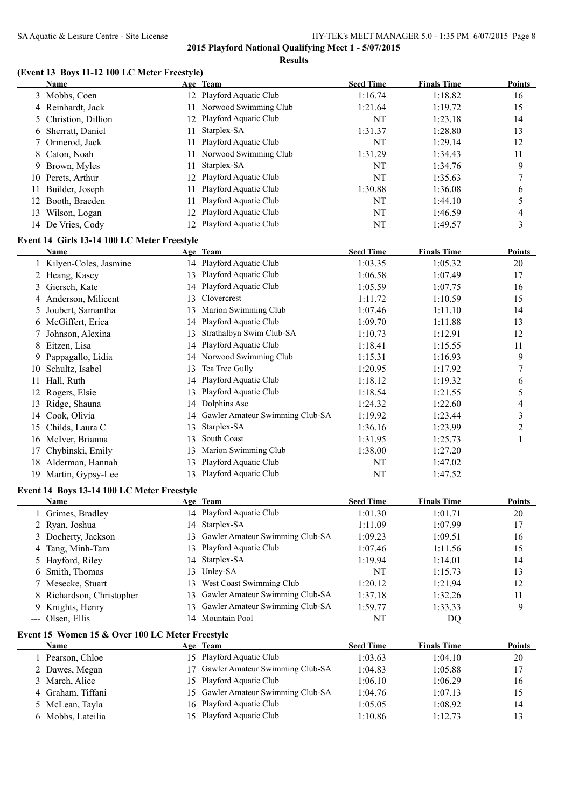# **(Event 13 Boys 11-12 100 LC Meter Freestyle)**

| 12 Playford Aquatic Club<br>1:16.74<br>1:18.82<br>3 Mobbs, Coen<br>16<br>11 Norwood Swimming Club<br>15<br>4 Reinhardt, Jack<br>1:19.72<br>1:21.64<br>Playford Aquatic Club<br>NT<br>Christion, Dillion<br>1:23.18<br>14<br>12<br>5<br>Starplex-SA<br>Sherratt, Daniel<br>1:28.80<br>13<br>11<br>1:31.37<br>6<br>Playford Aquatic Club<br>Ormerod, Jack<br>NT<br>1:29.14<br>12<br>11<br>7<br>Norwood Swimming Club<br>Caton, Noah<br>1:31.29<br>1:34.43<br>11<br>8<br>Starplex-SA<br>9<br>Brown, Myles<br>NT<br>1:34.76<br>11<br>9<br>Playford Aquatic Club<br>NT<br>10 Perets, Arthur<br>12<br>1:35.63<br>7<br>Playford Aquatic Club<br>1:30.88<br>Builder, Joseph<br>1:36.08<br>6<br>11<br>11<br>Playford Aquatic Club<br>Booth, Braeden<br>5<br>11<br>NT<br>1:44.10<br>12<br>Playford Aquatic Club<br>13 Wilson, Logan<br>NT<br>4<br>12<br>1:46.59<br>12 Playford Aquatic Club<br>3<br>14 De Vries, Cody<br>NT<br>1:49.57<br>Event 14 Girls 13-14 100 LC Meter Freestyle<br>Age Team<br><b>Seed Time</b><br><b>Finals Time</b><br><b>Points</b><br>Name<br>14 Playford Aquatic Club<br>1 Kilyen-Coles, Jasmine<br>1:03.35<br>1:05.32<br>20<br>13 Playford Aquatic Club<br>2 Heang, Kasey<br>17<br>1:06.58<br>1:07.49<br>14 Playford Aquatic Club<br>Giersch, Kate<br>1:05.59<br>1:07.75<br>16<br>3<br>Clovercrest<br>Anderson, Milicent<br>15<br>1:11.72<br>1:10.59<br>13<br>4<br>Marion Swimming Club<br>14<br>Joubert, Samantha<br>1:07.46<br>1:11.10<br>13<br>5<br>McGiffert, Erica<br>Playford Aquatic Club<br>1:09.70<br>1:11.88<br>13<br>14<br>6<br>Strathalbyn Swim Club-SA<br>Johnson, Alexina<br>12<br>1:10.73<br>1:12.91<br>13<br>7<br>Playford Aquatic Club<br>Eitzen, Lisa<br>11<br>1:18.41<br>1:15.55<br>8<br>14<br>14 Norwood Swimming Club<br>Pappagallo, Lidia<br>9<br>1:15.31<br>1:16.93<br>9<br>Tea Tree Gully<br>Schultz, Isabel<br>1:20.95<br>1:17.92<br>7<br>13<br>10<br>Playford Aquatic Club<br>Hall, Ruth<br>1:19.32<br>1:18.12<br>14<br>6<br>11<br>Rogers, Elsie<br>Playford Aquatic Club<br>5<br>1:18.54<br>1:21.55<br>12<br>13<br>Dolphins Asc<br>Ridge, Shauna<br>1:22.60<br>$\overline{\mathcal{A}}$<br>1:24.32<br>13<br>14<br>Gawler Amateur Swimming Club-SA<br>1:23.44<br>3<br>Cook, Olivia<br>1:19.92<br>14<br>14<br>Starplex-SA<br>Childs, Laura C<br>1:23.99<br>$\overline{c}$<br>1:36.16<br>15<br>13<br>South Coast<br>McIver, Brianna<br>$\mathbf{1}$<br>1:31.95<br>1:25.73<br>13<br>16<br>Marion Swimming Club<br>Chybinski, Emily<br>1:27.20<br>1:38.00<br>17<br>13<br>Playford Aquatic Club<br>Alderman, Hannah<br>NT<br>18<br>1:47.02<br>13<br>13 Playford Aquatic Club<br>NT<br>19 Martin, Gypsy-Lee<br>1:47.52<br>Event 14 Boys 13-14 100 LC Meter Freestyle<br><b>Seed Time</b><br><b>Finals Time</b><br>Name<br>Age Team<br>Points<br>Grimes, Bradley<br>14 Playford Aquatic Club<br>1:01.30<br>1:01.71<br>20<br>1<br>Starplex-SA<br>Ryan, Joshua<br>1:07.99<br>17<br>1:11.09<br>2<br>14<br>Gawler Amateur Swimming Club-SA<br>Docherty, Jackson<br>1:09.23<br>1:09.51<br>16<br>13<br>3<br>Playford Aquatic Club<br>Tang, Minh-Tam<br>15<br>13<br>1:07.46<br>1:11.56<br>4<br>Starplex-SA<br>Hayford, Riley<br>14<br>14<br>1:19.94<br>1:14.01<br>5<br>Unley-SA<br>NT<br>Smith, Thomas<br>1:15.73<br>13<br>13<br>6<br>Mesecke, Stuart<br>West Coast Swimming Club<br>1:20.12<br>1:21.94<br>12<br>13<br>7<br>Gawler Amateur Swimming Club-SA<br>Richardson, Christopher<br>1:37.18<br>1:32.26<br>11<br>8<br>13<br>Gawler Amateur Swimming Club-SA<br>9<br>Knights, Henry<br>1:59.77<br>1:33.33<br>13<br>9.<br>14 Mountain Pool<br>Olsen, Ellis<br>NT<br>DQ<br>---<br>Event 15 Women 15 & Over 100 LC Meter Freestyle<br><b>Seed Time</b><br><b>Finals Time</b><br>Name<br>Age Team<br>15 Playford Aquatic Club<br>1:03.63<br>1 Pearson, Chloe<br>1:04.10<br>20<br>Gawler Amateur Swimming Club-SA<br>2 Dawes, Megan<br>17<br>1:04.83<br>1:05.88<br>17<br>March, Alice<br>Playford Aquatic Club<br>1:06.10<br>1:06.29<br>16<br>3<br>15<br>Gawler Amateur Swimming Club-SA<br>Graham, Tiffani<br>15<br>15<br>1:04.76<br>1:07.13<br>4<br>Playford Aquatic Club<br>McLean, Tayla<br>14<br>1:05.05<br>1:08.92<br>5<br>16<br>Playford Aquatic Club<br>Mobbs, Lateilia<br>15<br>13<br>1:10.86<br>1:12.73<br>6 | <b>Name</b> | Age Team | <b>Seed Time</b> | <b>Finals Time</b> | <b>Points</b> |
|-----------------------------------------------------------------------------------------------------------------------------------------------------------------------------------------------------------------------------------------------------------------------------------------------------------------------------------------------------------------------------------------------------------------------------------------------------------------------------------------------------------------------------------------------------------------------------------------------------------------------------------------------------------------------------------------------------------------------------------------------------------------------------------------------------------------------------------------------------------------------------------------------------------------------------------------------------------------------------------------------------------------------------------------------------------------------------------------------------------------------------------------------------------------------------------------------------------------------------------------------------------------------------------------------------------------------------------------------------------------------------------------------------------------------------------------------------------------------------------------------------------------------------------------------------------------------------------------------------------------------------------------------------------------------------------------------------------------------------------------------------------------------------------------------------------------------------------------------------------------------------------------------------------------------------------------------------------------------------------------------------------------------------------------------------------------------------------------------------------------------------------------------------------------------------------------------------------------------------------------------------------------------------------------------------------------------------------------------------------------------------------------------------------------------------------------------------------------------------------------------------------------------------------------------------------------------------------------------------------------------------------------------------------------------------------------------------------------------------------------------------------------------------------------------------------------------------------------------------------------------------------------------------------------------------------------------------------------------------------------------------------------------------------------------------------------------------------------------------------------------------------------------------------------------------------------------------------------------------------------------------------------------------------------------------------------------------------------------------------------------------------------------------------------------------------------------------------------------------------------------------------------------------------------------------------------------------------------------------------------------------------------------------------------------------------------------------------------------------------------------------------------------------------------------------------------------------------------------------------------------------------------------------------------------------------------------------------------------------------------------------------------------------------------------------------------------------------------------------------------------------------------------------------------------------------------------------------------------------------------------------|-------------|----------|------------------|--------------------|---------------|
|                                                                                                                                                                                                                                                                                                                                                                                                                                                                                                                                                                                                                                                                                                                                                                                                                                                                                                                                                                                                                                                                                                                                                                                                                                                                                                                                                                                                                                                                                                                                                                                                                                                                                                                                                                                                                                                                                                                                                                                                                                                                                                                                                                                                                                                                                                                                                                                                                                                                                                                                                                                                                                                                                                                                                                                                                                                                                                                                                                                                                                                                                                                                                                                                                                                                                                                                                                                                                                                                                                                                                                                                                                                                                                                                                                                                                                                                                                                                                                                                                                                                                                                                                                                                                                                     |             |          |                  |                    |               |
|                                                                                                                                                                                                                                                                                                                                                                                                                                                                                                                                                                                                                                                                                                                                                                                                                                                                                                                                                                                                                                                                                                                                                                                                                                                                                                                                                                                                                                                                                                                                                                                                                                                                                                                                                                                                                                                                                                                                                                                                                                                                                                                                                                                                                                                                                                                                                                                                                                                                                                                                                                                                                                                                                                                                                                                                                                                                                                                                                                                                                                                                                                                                                                                                                                                                                                                                                                                                                                                                                                                                                                                                                                                                                                                                                                                                                                                                                                                                                                                                                                                                                                                                                                                                                                                     |             |          |                  |                    |               |
|                                                                                                                                                                                                                                                                                                                                                                                                                                                                                                                                                                                                                                                                                                                                                                                                                                                                                                                                                                                                                                                                                                                                                                                                                                                                                                                                                                                                                                                                                                                                                                                                                                                                                                                                                                                                                                                                                                                                                                                                                                                                                                                                                                                                                                                                                                                                                                                                                                                                                                                                                                                                                                                                                                                                                                                                                                                                                                                                                                                                                                                                                                                                                                                                                                                                                                                                                                                                                                                                                                                                                                                                                                                                                                                                                                                                                                                                                                                                                                                                                                                                                                                                                                                                                                                     |             |          |                  |                    |               |
|                                                                                                                                                                                                                                                                                                                                                                                                                                                                                                                                                                                                                                                                                                                                                                                                                                                                                                                                                                                                                                                                                                                                                                                                                                                                                                                                                                                                                                                                                                                                                                                                                                                                                                                                                                                                                                                                                                                                                                                                                                                                                                                                                                                                                                                                                                                                                                                                                                                                                                                                                                                                                                                                                                                                                                                                                                                                                                                                                                                                                                                                                                                                                                                                                                                                                                                                                                                                                                                                                                                                                                                                                                                                                                                                                                                                                                                                                                                                                                                                                                                                                                                                                                                                                                                     |             |          |                  |                    |               |
|                                                                                                                                                                                                                                                                                                                                                                                                                                                                                                                                                                                                                                                                                                                                                                                                                                                                                                                                                                                                                                                                                                                                                                                                                                                                                                                                                                                                                                                                                                                                                                                                                                                                                                                                                                                                                                                                                                                                                                                                                                                                                                                                                                                                                                                                                                                                                                                                                                                                                                                                                                                                                                                                                                                                                                                                                                                                                                                                                                                                                                                                                                                                                                                                                                                                                                                                                                                                                                                                                                                                                                                                                                                                                                                                                                                                                                                                                                                                                                                                                                                                                                                                                                                                                                                     |             |          |                  |                    |               |
|                                                                                                                                                                                                                                                                                                                                                                                                                                                                                                                                                                                                                                                                                                                                                                                                                                                                                                                                                                                                                                                                                                                                                                                                                                                                                                                                                                                                                                                                                                                                                                                                                                                                                                                                                                                                                                                                                                                                                                                                                                                                                                                                                                                                                                                                                                                                                                                                                                                                                                                                                                                                                                                                                                                                                                                                                                                                                                                                                                                                                                                                                                                                                                                                                                                                                                                                                                                                                                                                                                                                                                                                                                                                                                                                                                                                                                                                                                                                                                                                                                                                                                                                                                                                                                                     |             |          |                  |                    |               |
|                                                                                                                                                                                                                                                                                                                                                                                                                                                                                                                                                                                                                                                                                                                                                                                                                                                                                                                                                                                                                                                                                                                                                                                                                                                                                                                                                                                                                                                                                                                                                                                                                                                                                                                                                                                                                                                                                                                                                                                                                                                                                                                                                                                                                                                                                                                                                                                                                                                                                                                                                                                                                                                                                                                                                                                                                                                                                                                                                                                                                                                                                                                                                                                                                                                                                                                                                                                                                                                                                                                                                                                                                                                                                                                                                                                                                                                                                                                                                                                                                                                                                                                                                                                                                                                     |             |          |                  |                    |               |
|                                                                                                                                                                                                                                                                                                                                                                                                                                                                                                                                                                                                                                                                                                                                                                                                                                                                                                                                                                                                                                                                                                                                                                                                                                                                                                                                                                                                                                                                                                                                                                                                                                                                                                                                                                                                                                                                                                                                                                                                                                                                                                                                                                                                                                                                                                                                                                                                                                                                                                                                                                                                                                                                                                                                                                                                                                                                                                                                                                                                                                                                                                                                                                                                                                                                                                                                                                                                                                                                                                                                                                                                                                                                                                                                                                                                                                                                                                                                                                                                                                                                                                                                                                                                                                                     |             |          |                  |                    |               |
|                                                                                                                                                                                                                                                                                                                                                                                                                                                                                                                                                                                                                                                                                                                                                                                                                                                                                                                                                                                                                                                                                                                                                                                                                                                                                                                                                                                                                                                                                                                                                                                                                                                                                                                                                                                                                                                                                                                                                                                                                                                                                                                                                                                                                                                                                                                                                                                                                                                                                                                                                                                                                                                                                                                                                                                                                                                                                                                                                                                                                                                                                                                                                                                                                                                                                                                                                                                                                                                                                                                                                                                                                                                                                                                                                                                                                                                                                                                                                                                                                                                                                                                                                                                                                                                     |             |          |                  |                    |               |
|                                                                                                                                                                                                                                                                                                                                                                                                                                                                                                                                                                                                                                                                                                                                                                                                                                                                                                                                                                                                                                                                                                                                                                                                                                                                                                                                                                                                                                                                                                                                                                                                                                                                                                                                                                                                                                                                                                                                                                                                                                                                                                                                                                                                                                                                                                                                                                                                                                                                                                                                                                                                                                                                                                                                                                                                                                                                                                                                                                                                                                                                                                                                                                                                                                                                                                                                                                                                                                                                                                                                                                                                                                                                                                                                                                                                                                                                                                                                                                                                                                                                                                                                                                                                                                                     |             |          |                  |                    |               |
|                                                                                                                                                                                                                                                                                                                                                                                                                                                                                                                                                                                                                                                                                                                                                                                                                                                                                                                                                                                                                                                                                                                                                                                                                                                                                                                                                                                                                                                                                                                                                                                                                                                                                                                                                                                                                                                                                                                                                                                                                                                                                                                                                                                                                                                                                                                                                                                                                                                                                                                                                                                                                                                                                                                                                                                                                                                                                                                                                                                                                                                                                                                                                                                                                                                                                                                                                                                                                                                                                                                                                                                                                                                                                                                                                                                                                                                                                                                                                                                                                                                                                                                                                                                                                                                     |             |          |                  |                    |               |
|                                                                                                                                                                                                                                                                                                                                                                                                                                                                                                                                                                                                                                                                                                                                                                                                                                                                                                                                                                                                                                                                                                                                                                                                                                                                                                                                                                                                                                                                                                                                                                                                                                                                                                                                                                                                                                                                                                                                                                                                                                                                                                                                                                                                                                                                                                                                                                                                                                                                                                                                                                                                                                                                                                                                                                                                                                                                                                                                                                                                                                                                                                                                                                                                                                                                                                                                                                                                                                                                                                                                                                                                                                                                                                                                                                                                                                                                                                                                                                                                                                                                                                                                                                                                                                                     |             |          |                  |                    |               |
|                                                                                                                                                                                                                                                                                                                                                                                                                                                                                                                                                                                                                                                                                                                                                                                                                                                                                                                                                                                                                                                                                                                                                                                                                                                                                                                                                                                                                                                                                                                                                                                                                                                                                                                                                                                                                                                                                                                                                                                                                                                                                                                                                                                                                                                                                                                                                                                                                                                                                                                                                                                                                                                                                                                                                                                                                                                                                                                                                                                                                                                                                                                                                                                                                                                                                                                                                                                                                                                                                                                                                                                                                                                                                                                                                                                                                                                                                                                                                                                                                                                                                                                                                                                                                                                     |             |          |                  |                    |               |
|                                                                                                                                                                                                                                                                                                                                                                                                                                                                                                                                                                                                                                                                                                                                                                                                                                                                                                                                                                                                                                                                                                                                                                                                                                                                                                                                                                                                                                                                                                                                                                                                                                                                                                                                                                                                                                                                                                                                                                                                                                                                                                                                                                                                                                                                                                                                                                                                                                                                                                                                                                                                                                                                                                                                                                                                                                                                                                                                                                                                                                                                                                                                                                                                                                                                                                                                                                                                                                                                                                                                                                                                                                                                                                                                                                                                                                                                                                                                                                                                                                                                                                                                                                                                                                                     |             |          |                  |                    |               |
|                                                                                                                                                                                                                                                                                                                                                                                                                                                                                                                                                                                                                                                                                                                                                                                                                                                                                                                                                                                                                                                                                                                                                                                                                                                                                                                                                                                                                                                                                                                                                                                                                                                                                                                                                                                                                                                                                                                                                                                                                                                                                                                                                                                                                                                                                                                                                                                                                                                                                                                                                                                                                                                                                                                                                                                                                                                                                                                                                                                                                                                                                                                                                                                                                                                                                                                                                                                                                                                                                                                                                                                                                                                                                                                                                                                                                                                                                                                                                                                                                                                                                                                                                                                                                                                     |             |          |                  |                    |               |
|                                                                                                                                                                                                                                                                                                                                                                                                                                                                                                                                                                                                                                                                                                                                                                                                                                                                                                                                                                                                                                                                                                                                                                                                                                                                                                                                                                                                                                                                                                                                                                                                                                                                                                                                                                                                                                                                                                                                                                                                                                                                                                                                                                                                                                                                                                                                                                                                                                                                                                                                                                                                                                                                                                                                                                                                                                                                                                                                                                                                                                                                                                                                                                                                                                                                                                                                                                                                                                                                                                                                                                                                                                                                                                                                                                                                                                                                                                                                                                                                                                                                                                                                                                                                                                                     |             |          |                  |                    |               |
|                                                                                                                                                                                                                                                                                                                                                                                                                                                                                                                                                                                                                                                                                                                                                                                                                                                                                                                                                                                                                                                                                                                                                                                                                                                                                                                                                                                                                                                                                                                                                                                                                                                                                                                                                                                                                                                                                                                                                                                                                                                                                                                                                                                                                                                                                                                                                                                                                                                                                                                                                                                                                                                                                                                                                                                                                                                                                                                                                                                                                                                                                                                                                                                                                                                                                                                                                                                                                                                                                                                                                                                                                                                                                                                                                                                                                                                                                                                                                                                                                                                                                                                                                                                                                                                     |             |          |                  |                    |               |
|                                                                                                                                                                                                                                                                                                                                                                                                                                                                                                                                                                                                                                                                                                                                                                                                                                                                                                                                                                                                                                                                                                                                                                                                                                                                                                                                                                                                                                                                                                                                                                                                                                                                                                                                                                                                                                                                                                                                                                                                                                                                                                                                                                                                                                                                                                                                                                                                                                                                                                                                                                                                                                                                                                                                                                                                                                                                                                                                                                                                                                                                                                                                                                                                                                                                                                                                                                                                                                                                                                                                                                                                                                                                                                                                                                                                                                                                                                                                                                                                                                                                                                                                                                                                                                                     |             |          |                  |                    |               |
|                                                                                                                                                                                                                                                                                                                                                                                                                                                                                                                                                                                                                                                                                                                                                                                                                                                                                                                                                                                                                                                                                                                                                                                                                                                                                                                                                                                                                                                                                                                                                                                                                                                                                                                                                                                                                                                                                                                                                                                                                                                                                                                                                                                                                                                                                                                                                                                                                                                                                                                                                                                                                                                                                                                                                                                                                                                                                                                                                                                                                                                                                                                                                                                                                                                                                                                                                                                                                                                                                                                                                                                                                                                                                                                                                                                                                                                                                                                                                                                                                                                                                                                                                                                                                                                     |             |          |                  |                    |               |
|                                                                                                                                                                                                                                                                                                                                                                                                                                                                                                                                                                                                                                                                                                                                                                                                                                                                                                                                                                                                                                                                                                                                                                                                                                                                                                                                                                                                                                                                                                                                                                                                                                                                                                                                                                                                                                                                                                                                                                                                                                                                                                                                                                                                                                                                                                                                                                                                                                                                                                                                                                                                                                                                                                                                                                                                                                                                                                                                                                                                                                                                                                                                                                                                                                                                                                                                                                                                                                                                                                                                                                                                                                                                                                                                                                                                                                                                                                                                                                                                                                                                                                                                                                                                                                                     |             |          |                  |                    |               |
|                                                                                                                                                                                                                                                                                                                                                                                                                                                                                                                                                                                                                                                                                                                                                                                                                                                                                                                                                                                                                                                                                                                                                                                                                                                                                                                                                                                                                                                                                                                                                                                                                                                                                                                                                                                                                                                                                                                                                                                                                                                                                                                                                                                                                                                                                                                                                                                                                                                                                                                                                                                                                                                                                                                                                                                                                                                                                                                                                                                                                                                                                                                                                                                                                                                                                                                                                                                                                                                                                                                                                                                                                                                                                                                                                                                                                                                                                                                                                                                                                                                                                                                                                                                                                                                     |             |          |                  |                    |               |
|                                                                                                                                                                                                                                                                                                                                                                                                                                                                                                                                                                                                                                                                                                                                                                                                                                                                                                                                                                                                                                                                                                                                                                                                                                                                                                                                                                                                                                                                                                                                                                                                                                                                                                                                                                                                                                                                                                                                                                                                                                                                                                                                                                                                                                                                                                                                                                                                                                                                                                                                                                                                                                                                                                                                                                                                                                                                                                                                                                                                                                                                                                                                                                                                                                                                                                                                                                                                                                                                                                                                                                                                                                                                                                                                                                                                                                                                                                                                                                                                                                                                                                                                                                                                                                                     |             |          |                  |                    |               |
|                                                                                                                                                                                                                                                                                                                                                                                                                                                                                                                                                                                                                                                                                                                                                                                                                                                                                                                                                                                                                                                                                                                                                                                                                                                                                                                                                                                                                                                                                                                                                                                                                                                                                                                                                                                                                                                                                                                                                                                                                                                                                                                                                                                                                                                                                                                                                                                                                                                                                                                                                                                                                                                                                                                                                                                                                                                                                                                                                                                                                                                                                                                                                                                                                                                                                                                                                                                                                                                                                                                                                                                                                                                                                                                                                                                                                                                                                                                                                                                                                                                                                                                                                                                                                                                     |             |          |                  |                    |               |
|                                                                                                                                                                                                                                                                                                                                                                                                                                                                                                                                                                                                                                                                                                                                                                                                                                                                                                                                                                                                                                                                                                                                                                                                                                                                                                                                                                                                                                                                                                                                                                                                                                                                                                                                                                                                                                                                                                                                                                                                                                                                                                                                                                                                                                                                                                                                                                                                                                                                                                                                                                                                                                                                                                                                                                                                                                                                                                                                                                                                                                                                                                                                                                                                                                                                                                                                                                                                                                                                                                                                                                                                                                                                                                                                                                                                                                                                                                                                                                                                                                                                                                                                                                                                                                                     |             |          |                  |                    |               |
|                                                                                                                                                                                                                                                                                                                                                                                                                                                                                                                                                                                                                                                                                                                                                                                                                                                                                                                                                                                                                                                                                                                                                                                                                                                                                                                                                                                                                                                                                                                                                                                                                                                                                                                                                                                                                                                                                                                                                                                                                                                                                                                                                                                                                                                                                                                                                                                                                                                                                                                                                                                                                                                                                                                                                                                                                                                                                                                                                                                                                                                                                                                                                                                                                                                                                                                                                                                                                                                                                                                                                                                                                                                                                                                                                                                                                                                                                                                                                                                                                                                                                                                                                                                                                                                     |             |          |                  |                    |               |
|                                                                                                                                                                                                                                                                                                                                                                                                                                                                                                                                                                                                                                                                                                                                                                                                                                                                                                                                                                                                                                                                                                                                                                                                                                                                                                                                                                                                                                                                                                                                                                                                                                                                                                                                                                                                                                                                                                                                                                                                                                                                                                                                                                                                                                                                                                                                                                                                                                                                                                                                                                                                                                                                                                                                                                                                                                                                                                                                                                                                                                                                                                                                                                                                                                                                                                                                                                                                                                                                                                                                                                                                                                                                                                                                                                                                                                                                                                                                                                                                                                                                                                                                                                                                                                                     |             |          |                  |                    |               |
|                                                                                                                                                                                                                                                                                                                                                                                                                                                                                                                                                                                                                                                                                                                                                                                                                                                                                                                                                                                                                                                                                                                                                                                                                                                                                                                                                                                                                                                                                                                                                                                                                                                                                                                                                                                                                                                                                                                                                                                                                                                                                                                                                                                                                                                                                                                                                                                                                                                                                                                                                                                                                                                                                                                                                                                                                                                                                                                                                                                                                                                                                                                                                                                                                                                                                                                                                                                                                                                                                                                                                                                                                                                                                                                                                                                                                                                                                                                                                                                                                                                                                                                                                                                                                                                     |             |          |                  |                    |               |
|                                                                                                                                                                                                                                                                                                                                                                                                                                                                                                                                                                                                                                                                                                                                                                                                                                                                                                                                                                                                                                                                                                                                                                                                                                                                                                                                                                                                                                                                                                                                                                                                                                                                                                                                                                                                                                                                                                                                                                                                                                                                                                                                                                                                                                                                                                                                                                                                                                                                                                                                                                                                                                                                                                                                                                                                                                                                                                                                                                                                                                                                                                                                                                                                                                                                                                                                                                                                                                                                                                                                                                                                                                                                                                                                                                                                                                                                                                                                                                                                                                                                                                                                                                                                                                                     |             |          |                  |                    |               |
|                                                                                                                                                                                                                                                                                                                                                                                                                                                                                                                                                                                                                                                                                                                                                                                                                                                                                                                                                                                                                                                                                                                                                                                                                                                                                                                                                                                                                                                                                                                                                                                                                                                                                                                                                                                                                                                                                                                                                                                                                                                                                                                                                                                                                                                                                                                                                                                                                                                                                                                                                                                                                                                                                                                                                                                                                                                                                                                                                                                                                                                                                                                                                                                                                                                                                                                                                                                                                                                                                                                                                                                                                                                                                                                                                                                                                                                                                                                                                                                                                                                                                                                                                                                                                                                     |             |          |                  |                    |               |
|                                                                                                                                                                                                                                                                                                                                                                                                                                                                                                                                                                                                                                                                                                                                                                                                                                                                                                                                                                                                                                                                                                                                                                                                                                                                                                                                                                                                                                                                                                                                                                                                                                                                                                                                                                                                                                                                                                                                                                                                                                                                                                                                                                                                                                                                                                                                                                                                                                                                                                                                                                                                                                                                                                                                                                                                                                                                                                                                                                                                                                                                                                                                                                                                                                                                                                                                                                                                                                                                                                                                                                                                                                                                                                                                                                                                                                                                                                                                                                                                                                                                                                                                                                                                                                                     |             |          |                  |                    |               |
|                                                                                                                                                                                                                                                                                                                                                                                                                                                                                                                                                                                                                                                                                                                                                                                                                                                                                                                                                                                                                                                                                                                                                                                                                                                                                                                                                                                                                                                                                                                                                                                                                                                                                                                                                                                                                                                                                                                                                                                                                                                                                                                                                                                                                                                                                                                                                                                                                                                                                                                                                                                                                                                                                                                                                                                                                                                                                                                                                                                                                                                                                                                                                                                                                                                                                                                                                                                                                                                                                                                                                                                                                                                                                                                                                                                                                                                                                                                                                                                                                                                                                                                                                                                                                                                     |             |          |                  |                    |               |
|                                                                                                                                                                                                                                                                                                                                                                                                                                                                                                                                                                                                                                                                                                                                                                                                                                                                                                                                                                                                                                                                                                                                                                                                                                                                                                                                                                                                                                                                                                                                                                                                                                                                                                                                                                                                                                                                                                                                                                                                                                                                                                                                                                                                                                                                                                                                                                                                                                                                                                                                                                                                                                                                                                                                                                                                                                                                                                                                                                                                                                                                                                                                                                                                                                                                                                                                                                                                                                                                                                                                                                                                                                                                                                                                                                                                                                                                                                                                                                                                                                                                                                                                                                                                                                                     |             |          |                  |                    |               |
|                                                                                                                                                                                                                                                                                                                                                                                                                                                                                                                                                                                                                                                                                                                                                                                                                                                                                                                                                                                                                                                                                                                                                                                                                                                                                                                                                                                                                                                                                                                                                                                                                                                                                                                                                                                                                                                                                                                                                                                                                                                                                                                                                                                                                                                                                                                                                                                                                                                                                                                                                                                                                                                                                                                                                                                                                                                                                                                                                                                                                                                                                                                                                                                                                                                                                                                                                                                                                                                                                                                                                                                                                                                                                                                                                                                                                                                                                                                                                                                                                                                                                                                                                                                                                                                     |             |          |                  |                    |               |
|                                                                                                                                                                                                                                                                                                                                                                                                                                                                                                                                                                                                                                                                                                                                                                                                                                                                                                                                                                                                                                                                                                                                                                                                                                                                                                                                                                                                                                                                                                                                                                                                                                                                                                                                                                                                                                                                                                                                                                                                                                                                                                                                                                                                                                                                                                                                                                                                                                                                                                                                                                                                                                                                                                                                                                                                                                                                                                                                                                                                                                                                                                                                                                                                                                                                                                                                                                                                                                                                                                                                                                                                                                                                                                                                                                                                                                                                                                                                                                                                                                                                                                                                                                                                                                                     |             |          |                  |                    |               |
|                                                                                                                                                                                                                                                                                                                                                                                                                                                                                                                                                                                                                                                                                                                                                                                                                                                                                                                                                                                                                                                                                                                                                                                                                                                                                                                                                                                                                                                                                                                                                                                                                                                                                                                                                                                                                                                                                                                                                                                                                                                                                                                                                                                                                                                                                                                                                                                                                                                                                                                                                                                                                                                                                                                                                                                                                                                                                                                                                                                                                                                                                                                                                                                                                                                                                                                                                                                                                                                                                                                                                                                                                                                                                                                                                                                                                                                                                                                                                                                                                                                                                                                                                                                                                                                     |             |          |                  |                    |               |
|                                                                                                                                                                                                                                                                                                                                                                                                                                                                                                                                                                                                                                                                                                                                                                                                                                                                                                                                                                                                                                                                                                                                                                                                                                                                                                                                                                                                                                                                                                                                                                                                                                                                                                                                                                                                                                                                                                                                                                                                                                                                                                                                                                                                                                                                                                                                                                                                                                                                                                                                                                                                                                                                                                                                                                                                                                                                                                                                                                                                                                                                                                                                                                                                                                                                                                                                                                                                                                                                                                                                                                                                                                                                                                                                                                                                                                                                                                                                                                                                                                                                                                                                                                                                                                                     |             |          |                  |                    |               |
|                                                                                                                                                                                                                                                                                                                                                                                                                                                                                                                                                                                                                                                                                                                                                                                                                                                                                                                                                                                                                                                                                                                                                                                                                                                                                                                                                                                                                                                                                                                                                                                                                                                                                                                                                                                                                                                                                                                                                                                                                                                                                                                                                                                                                                                                                                                                                                                                                                                                                                                                                                                                                                                                                                                                                                                                                                                                                                                                                                                                                                                                                                                                                                                                                                                                                                                                                                                                                                                                                                                                                                                                                                                                                                                                                                                                                                                                                                                                                                                                                                                                                                                                                                                                                                                     |             |          |                  |                    |               |
|                                                                                                                                                                                                                                                                                                                                                                                                                                                                                                                                                                                                                                                                                                                                                                                                                                                                                                                                                                                                                                                                                                                                                                                                                                                                                                                                                                                                                                                                                                                                                                                                                                                                                                                                                                                                                                                                                                                                                                                                                                                                                                                                                                                                                                                                                                                                                                                                                                                                                                                                                                                                                                                                                                                                                                                                                                                                                                                                                                                                                                                                                                                                                                                                                                                                                                                                                                                                                                                                                                                                                                                                                                                                                                                                                                                                                                                                                                                                                                                                                                                                                                                                                                                                                                                     |             |          |                  |                    |               |
|                                                                                                                                                                                                                                                                                                                                                                                                                                                                                                                                                                                                                                                                                                                                                                                                                                                                                                                                                                                                                                                                                                                                                                                                                                                                                                                                                                                                                                                                                                                                                                                                                                                                                                                                                                                                                                                                                                                                                                                                                                                                                                                                                                                                                                                                                                                                                                                                                                                                                                                                                                                                                                                                                                                                                                                                                                                                                                                                                                                                                                                                                                                                                                                                                                                                                                                                                                                                                                                                                                                                                                                                                                                                                                                                                                                                                                                                                                                                                                                                                                                                                                                                                                                                                                                     |             |          |                  |                    |               |
|                                                                                                                                                                                                                                                                                                                                                                                                                                                                                                                                                                                                                                                                                                                                                                                                                                                                                                                                                                                                                                                                                                                                                                                                                                                                                                                                                                                                                                                                                                                                                                                                                                                                                                                                                                                                                                                                                                                                                                                                                                                                                                                                                                                                                                                                                                                                                                                                                                                                                                                                                                                                                                                                                                                                                                                                                                                                                                                                                                                                                                                                                                                                                                                                                                                                                                                                                                                                                                                                                                                                                                                                                                                                                                                                                                                                                                                                                                                                                                                                                                                                                                                                                                                                                                                     |             |          |                  |                    |               |
|                                                                                                                                                                                                                                                                                                                                                                                                                                                                                                                                                                                                                                                                                                                                                                                                                                                                                                                                                                                                                                                                                                                                                                                                                                                                                                                                                                                                                                                                                                                                                                                                                                                                                                                                                                                                                                                                                                                                                                                                                                                                                                                                                                                                                                                                                                                                                                                                                                                                                                                                                                                                                                                                                                                                                                                                                                                                                                                                                                                                                                                                                                                                                                                                                                                                                                                                                                                                                                                                                                                                                                                                                                                                                                                                                                                                                                                                                                                                                                                                                                                                                                                                                                                                                                                     |             |          |                  |                    |               |
|                                                                                                                                                                                                                                                                                                                                                                                                                                                                                                                                                                                                                                                                                                                                                                                                                                                                                                                                                                                                                                                                                                                                                                                                                                                                                                                                                                                                                                                                                                                                                                                                                                                                                                                                                                                                                                                                                                                                                                                                                                                                                                                                                                                                                                                                                                                                                                                                                                                                                                                                                                                                                                                                                                                                                                                                                                                                                                                                                                                                                                                                                                                                                                                                                                                                                                                                                                                                                                                                                                                                                                                                                                                                                                                                                                                                                                                                                                                                                                                                                                                                                                                                                                                                                                                     |             |          |                  |                    |               |
|                                                                                                                                                                                                                                                                                                                                                                                                                                                                                                                                                                                                                                                                                                                                                                                                                                                                                                                                                                                                                                                                                                                                                                                                                                                                                                                                                                                                                                                                                                                                                                                                                                                                                                                                                                                                                                                                                                                                                                                                                                                                                                                                                                                                                                                                                                                                                                                                                                                                                                                                                                                                                                                                                                                                                                                                                                                                                                                                                                                                                                                                                                                                                                                                                                                                                                                                                                                                                                                                                                                                                                                                                                                                                                                                                                                                                                                                                                                                                                                                                                                                                                                                                                                                                                                     |             |          |                  |                    |               |
|                                                                                                                                                                                                                                                                                                                                                                                                                                                                                                                                                                                                                                                                                                                                                                                                                                                                                                                                                                                                                                                                                                                                                                                                                                                                                                                                                                                                                                                                                                                                                                                                                                                                                                                                                                                                                                                                                                                                                                                                                                                                                                                                                                                                                                                                                                                                                                                                                                                                                                                                                                                                                                                                                                                                                                                                                                                                                                                                                                                                                                                                                                                                                                                                                                                                                                                                                                                                                                                                                                                                                                                                                                                                                                                                                                                                                                                                                                                                                                                                                                                                                                                                                                                                                                                     |             |          |                  |                    |               |
|                                                                                                                                                                                                                                                                                                                                                                                                                                                                                                                                                                                                                                                                                                                                                                                                                                                                                                                                                                                                                                                                                                                                                                                                                                                                                                                                                                                                                                                                                                                                                                                                                                                                                                                                                                                                                                                                                                                                                                                                                                                                                                                                                                                                                                                                                                                                                                                                                                                                                                                                                                                                                                                                                                                                                                                                                                                                                                                                                                                                                                                                                                                                                                                                                                                                                                                                                                                                                                                                                                                                                                                                                                                                                                                                                                                                                                                                                                                                                                                                                                                                                                                                                                                                                                                     |             |          |                  |                    |               |
|                                                                                                                                                                                                                                                                                                                                                                                                                                                                                                                                                                                                                                                                                                                                                                                                                                                                                                                                                                                                                                                                                                                                                                                                                                                                                                                                                                                                                                                                                                                                                                                                                                                                                                                                                                                                                                                                                                                                                                                                                                                                                                                                                                                                                                                                                                                                                                                                                                                                                                                                                                                                                                                                                                                                                                                                                                                                                                                                                                                                                                                                                                                                                                                                                                                                                                                                                                                                                                                                                                                                                                                                                                                                                                                                                                                                                                                                                                                                                                                                                                                                                                                                                                                                                                                     |             |          |                  |                    |               |
|                                                                                                                                                                                                                                                                                                                                                                                                                                                                                                                                                                                                                                                                                                                                                                                                                                                                                                                                                                                                                                                                                                                                                                                                                                                                                                                                                                                                                                                                                                                                                                                                                                                                                                                                                                                                                                                                                                                                                                                                                                                                                                                                                                                                                                                                                                                                                                                                                                                                                                                                                                                                                                                                                                                                                                                                                                                                                                                                                                                                                                                                                                                                                                                                                                                                                                                                                                                                                                                                                                                                                                                                                                                                                                                                                                                                                                                                                                                                                                                                                                                                                                                                                                                                                                                     |             |          |                  |                    |               |
|                                                                                                                                                                                                                                                                                                                                                                                                                                                                                                                                                                                                                                                                                                                                                                                                                                                                                                                                                                                                                                                                                                                                                                                                                                                                                                                                                                                                                                                                                                                                                                                                                                                                                                                                                                                                                                                                                                                                                                                                                                                                                                                                                                                                                                                                                                                                                                                                                                                                                                                                                                                                                                                                                                                                                                                                                                                                                                                                                                                                                                                                                                                                                                                                                                                                                                                                                                                                                                                                                                                                                                                                                                                                                                                                                                                                                                                                                                                                                                                                                                                                                                                                                                                                                                                     |             |          |                  |                    |               |
|                                                                                                                                                                                                                                                                                                                                                                                                                                                                                                                                                                                                                                                                                                                                                                                                                                                                                                                                                                                                                                                                                                                                                                                                                                                                                                                                                                                                                                                                                                                                                                                                                                                                                                                                                                                                                                                                                                                                                                                                                                                                                                                                                                                                                                                                                                                                                                                                                                                                                                                                                                                                                                                                                                                                                                                                                                                                                                                                                                                                                                                                                                                                                                                                                                                                                                                                                                                                                                                                                                                                                                                                                                                                                                                                                                                                                                                                                                                                                                                                                                                                                                                                                                                                                                                     |             |          |                  |                    | <u>Points</u> |
|                                                                                                                                                                                                                                                                                                                                                                                                                                                                                                                                                                                                                                                                                                                                                                                                                                                                                                                                                                                                                                                                                                                                                                                                                                                                                                                                                                                                                                                                                                                                                                                                                                                                                                                                                                                                                                                                                                                                                                                                                                                                                                                                                                                                                                                                                                                                                                                                                                                                                                                                                                                                                                                                                                                                                                                                                                                                                                                                                                                                                                                                                                                                                                                                                                                                                                                                                                                                                                                                                                                                                                                                                                                                                                                                                                                                                                                                                                                                                                                                                                                                                                                                                                                                                                                     |             |          |                  |                    |               |
|                                                                                                                                                                                                                                                                                                                                                                                                                                                                                                                                                                                                                                                                                                                                                                                                                                                                                                                                                                                                                                                                                                                                                                                                                                                                                                                                                                                                                                                                                                                                                                                                                                                                                                                                                                                                                                                                                                                                                                                                                                                                                                                                                                                                                                                                                                                                                                                                                                                                                                                                                                                                                                                                                                                                                                                                                                                                                                                                                                                                                                                                                                                                                                                                                                                                                                                                                                                                                                                                                                                                                                                                                                                                                                                                                                                                                                                                                                                                                                                                                                                                                                                                                                                                                                                     |             |          |                  |                    |               |
|                                                                                                                                                                                                                                                                                                                                                                                                                                                                                                                                                                                                                                                                                                                                                                                                                                                                                                                                                                                                                                                                                                                                                                                                                                                                                                                                                                                                                                                                                                                                                                                                                                                                                                                                                                                                                                                                                                                                                                                                                                                                                                                                                                                                                                                                                                                                                                                                                                                                                                                                                                                                                                                                                                                                                                                                                                                                                                                                                                                                                                                                                                                                                                                                                                                                                                                                                                                                                                                                                                                                                                                                                                                                                                                                                                                                                                                                                                                                                                                                                                                                                                                                                                                                                                                     |             |          |                  |                    |               |
|                                                                                                                                                                                                                                                                                                                                                                                                                                                                                                                                                                                                                                                                                                                                                                                                                                                                                                                                                                                                                                                                                                                                                                                                                                                                                                                                                                                                                                                                                                                                                                                                                                                                                                                                                                                                                                                                                                                                                                                                                                                                                                                                                                                                                                                                                                                                                                                                                                                                                                                                                                                                                                                                                                                                                                                                                                                                                                                                                                                                                                                                                                                                                                                                                                                                                                                                                                                                                                                                                                                                                                                                                                                                                                                                                                                                                                                                                                                                                                                                                                                                                                                                                                                                                                                     |             |          |                  |                    |               |
|                                                                                                                                                                                                                                                                                                                                                                                                                                                                                                                                                                                                                                                                                                                                                                                                                                                                                                                                                                                                                                                                                                                                                                                                                                                                                                                                                                                                                                                                                                                                                                                                                                                                                                                                                                                                                                                                                                                                                                                                                                                                                                                                                                                                                                                                                                                                                                                                                                                                                                                                                                                                                                                                                                                                                                                                                                                                                                                                                                                                                                                                                                                                                                                                                                                                                                                                                                                                                                                                                                                                                                                                                                                                                                                                                                                                                                                                                                                                                                                                                                                                                                                                                                                                                                                     |             |          |                  |                    |               |
|                                                                                                                                                                                                                                                                                                                                                                                                                                                                                                                                                                                                                                                                                                                                                                                                                                                                                                                                                                                                                                                                                                                                                                                                                                                                                                                                                                                                                                                                                                                                                                                                                                                                                                                                                                                                                                                                                                                                                                                                                                                                                                                                                                                                                                                                                                                                                                                                                                                                                                                                                                                                                                                                                                                                                                                                                                                                                                                                                                                                                                                                                                                                                                                                                                                                                                                                                                                                                                                                                                                                                                                                                                                                                                                                                                                                                                                                                                                                                                                                                                                                                                                                                                                                                                                     |             |          |                  |                    |               |
|                                                                                                                                                                                                                                                                                                                                                                                                                                                                                                                                                                                                                                                                                                                                                                                                                                                                                                                                                                                                                                                                                                                                                                                                                                                                                                                                                                                                                                                                                                                                                                                                                                                                                                                                                                                                                                                                                                                                                                                                                                                                                                                                                                                                                                                                                                                                                                                                                                                                                                                                                                                                                                                                                                                                                                                                                                                                                                                                                                                                                                                                                                                                                                                                                                                                                                                                                                                                                                                                                                                                                                                                                                                                                                                                                                                                                                                                                                                                                                                                                                                                                                                                                                                                                                                     |             |          |                  |                    |               |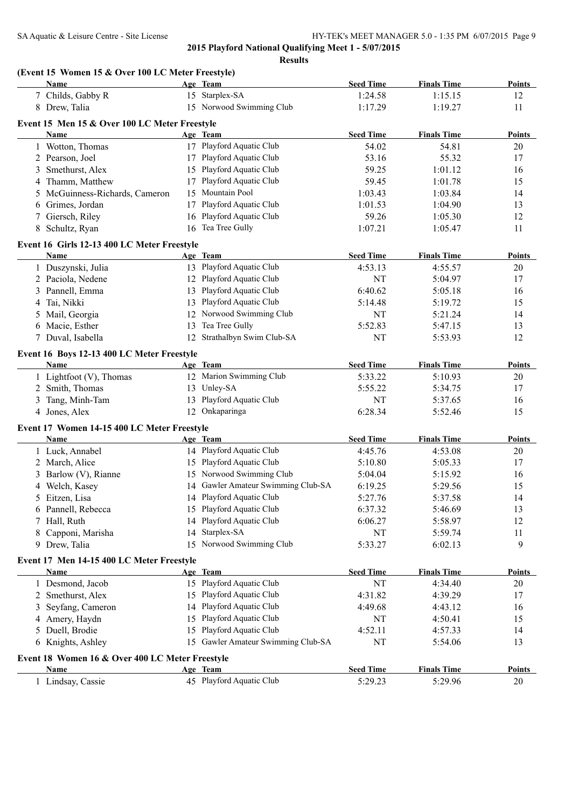|   | (Event 15 Women 15 & Over 100 LC Meter Freestyle)<br>Name |    | Age Team                           | <b>Seed Time</b> | <b>Finals Time</b> | Points        |
|---|-----------------------------------------------------------|----|------------------------------------|------------------|--------------------|---------------|
|   | 7 Childs, Gabby R                                         |    | 15 Starplex-SA                     | 1:24.58          | 1:15.15            | 12            |
|   | 8 Drew, Talia                                             |    | 15 Norwood Swimming Club           | 1:17.29          | 1:19.27            | 11            |
|   |                                                           |    |                                    |                  |                    |               |
|   | Event 15 Men 15 & Over 100 LC Meter Freestyle             |    |                                    |                  |                    | <b>Points</b> |
|   | <b>Name</b>                                               |    | Age Team                           | <b>Seed Time</b> | <b>Finals Time</b> |               |
|   | 1 Wotton, Thomas                                          |    | 17 Playford Aquatic Club           | 54.02            | 54.81              | 20            |
|   | 2 Pearson, Joel                                           |    | 17 Playford Aquatic Club           | 53.16            | 55.32              | 17            |
| 3 | Smethurst, Alex                                           |    | 15 Playford Aquatic Club           | 59.25            | 1:01.12            | 16            |
|   | 4 Thamm, Matthew                                          |    | 17 Playford Aquatic Club           | 59.45            | 1:01.78            | 15            |
| 5 | McGuinness-Richards, Cameron                              |    | 15 Mountain Pool                   | 1:03.43          | 1:03.84            | 14            |
| 6 | Grimes, Jordan                                            | 17 | Playford Aquatic Club              | 1:01.53          | 1:04.90            | 13            |
|   | 7 Giersch, Riley                                          |    | 16 Playford Aquatic Club           | 59.26            | 1:05.30            | 12            |
|   | 8 Schultz, Ryan                                           | 16 | Tea Tree Gully                     | 1:07.21          | 1:05.47            | 11            |
|   | Event 16 Girls 12-13 400 LC Meter Freestyle               |    |                                    |                  |                    |               |
|   | Name                                                      |    | Age Team                           | <b>Seed Time</b> | <b>Finals Time</b> | <b>Points</b> |
|   | 1 Duszynski, Julia                                        |    | 13 Playford Aquatic Club           | 4:53.13          | 4:55.57            | 20            |
|   | 2 Paciola, Nedene                                         |    | 12 Playford Aquatic Club           | NT               | 5:04.97            | 17            |
|   | 3 Pannell, Emma                                           |    | 13 Playford Aquatic Club           | 6:40.62          | 5:05.18            | 16            |
|   | 4 Tai, Nikki                                              | 13 | Playford Aquatic Club              | 5:14.48          | 5:19.72            | 15            |
|   | 5 Mail, Georgia                                           |    | 12 Norwood Swimming Club           | NT               | 5:21.24            | 14            |
|   | 6 Macie, Esther                                           | 13 | Tea Tree Gully                     | 5:52.83          | 5:47.15            | 13            |
|   | 7 Duval, Isabella                                         |    | 12 Strathalbyn Swim Club-SA        | <b>NT</b>        | 5:53.93            | 12            |
|   | Event 16 Boys 12-13 400 LC Meter Freestyle                |    |                                    |                  |                    |               |
|   | Name                                                      |    | Age Team                           | <b>Seed Time</b> | <b>Finals Time</b> | <b>Points</b> |
|   | 1 Lightfoot (V), Thomas                                   |    | 12 Marion Swimming Club            | 5:33.22          | 5:10.93            | 20            |
|   | 2 Smith, Thomas                                           |    | 13 Unley-SA                        | 5:55.22          | 5:34.75            | 17            |
|   | 3 Tang, Minh-Tam                                          |    | 13 Playford Aquatic Club           | NT               | 5:37.65            | 16            |
|   | 4 Jones, Alex                                             |    | 12 Onkaparinga                     | 6:28.34          | 5:52.46            | 15            |
|   | Event 17 Women 14-15 400 LC Meter Freestyle               |    |                                    |                  |                    |               |
|   | Name                                                      |    | Age Team                           | <b>Seed Time</b> | <b>Finals Time</b> | <b>Points</b> |
|   | 1 Luck, Annabel                                           |    | 14 Playford Aquatic Club           | 4:45.76          | 4:53.08            | 20            |
|   | 2 March, Alice                                            |    | 15 Playford Aquatic Club           | 5:10.80          | 5:05.33            | 17            |
|   | 3 Barlow (V), Rianne                                      |    | 15 Norwood Swimming Club           | 5:04.04          | 5:15.92            | 16            |
|   | 4 Welch, Kasey                                            |    | 14 Gawler Amateur Swimming Club-SA | 6:19.25          | 5:29.56            | 15            |
|   | 5 Eitzen, Lisa                                            |    | 14 Playford Aquatic Club           | 5:27.76          | 5:37.58            | 14            |
|   | 6 Pannell, Rebecca                                        | 15 | Playford Aquatic Club              | 6:37.32          | 5:46.69            | 13            |
|   | 7 Hall, Ruth                                              | 14 | Playford Aquatic Club              | 6:06.27          | 5:58.97            | 12            |
| 8 | Capponi, Marisha                                          | 14 | Starplex-SA                        | <b>NT</b>        | 5:59.74            | 11            |
|   | 9 Drew, Talia                                             |    | 15 Norwood Swimming Club           | 5:33.27          | 6:02.13            | 9             |
|   |                                                           |    |                                    |                  |                    |               |
|   | Event 17 Men 14-15 400 LC Meter Freestyle                 |    |                                    |                  |                    |               |
|   | Name                                                      |    | Age Team                           | <b>Seed Time</b> | <b>Finals Time</b> | Points        |
|   | 1 Desmond, Jacob                                          |    | 15 Playford Aquatic Club           | NT               | 4:34.40            | 20            |
|   | 2 Smethurst, Alex                                         | 15 | Playford Aquatic Club              | 4:31.82          | 4:39.29            | 17            |
| 3 | Seyfang, Cameron                                          | 14 | Playford Aquatic Club              | 4:49.68          | 4:43.12            | 16            |
|   | 4 Amery, Haydn                                            | 15 | Playford Aquatic Club              | NT               | 4:50.41            | 15            |
|   | 5 Duell, Brodie                                           | 15 | Playford Aquatic Club              | 4:52.11          | 4:57.33            | 14            |
|   | 6 Knights, Ashley                                         | 15 | Gawler Amateur Swimming Club-SA    | <b>NT</b>        | 5:54.06            | 13            |
|   | Event 18 Women 16 & Over 400 LC Meter Freestyle           |    |                                    |                  |                    |               |
|   | Name                                                      |    | Age Team                           | <b>Seed Time</b> | <b>Finals Time</b> | Points        |
|   | 1 Lindsay, Cassie                                         |    | 45 Playford Aquatic Club           | 5:29.23          | 5:29.96            | 20            |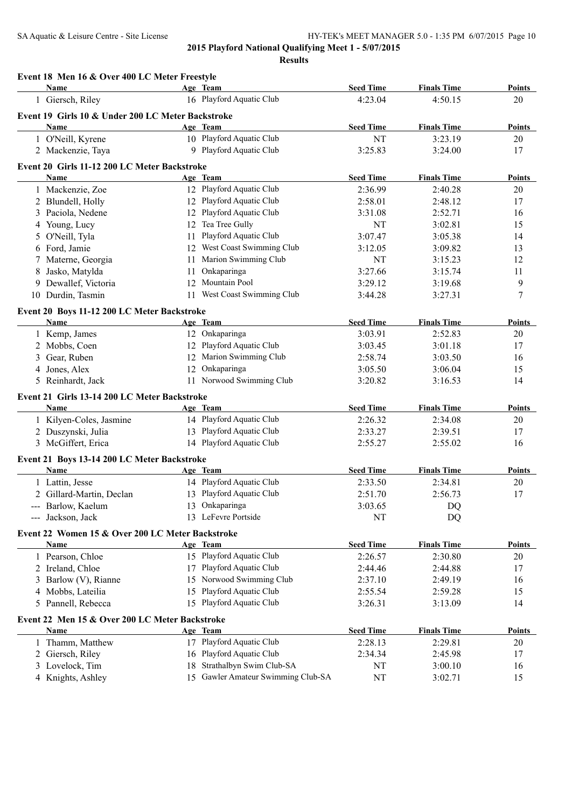|   | Event 18 Men 16 & Over 400 LC Meter Freestyle       |    |                                    |                  |                    |               |
|---|-----------------------------------------------------|----|------------------------------------|------------------|--------------------|---------------|
|   | Name                                                |    | Age Team                           | <b>Seed Time</b> | <b>Finals Time</b> | Points        |
|   | 1 Giersch, Riley                                    |    | 16 Playford Aquatic Club           | 4:23.04          | 4:50.15            | 20            |
|   | Event 19 Girls 10 & Under 200 LC Meter Backstroke   |    |                                    |                  |                    |               |
|   | Name                                                |    | Age Team                           | <b>Seed Time</b> | <b>Finals Time</b> | <b>Points</b> |
|   | 1 O'Neill, Kyrene                                   |    | 10 Playford Aquatic Club           | NT               | 3:23.19            | 20            |
|   | 2 Mackenzie, Taya                                   |    | 9 Playford Aquatic Club            | 3:25.83          | 3:24.00            | 17            |
|   | Event 20 Girls 11-12 200 LC Meter Backstroke        |    |                                    |                  |                    |               |
|   | Name                                                |    | Age Team                           | <b>Seed Time</b> | <b>Finals Time</b> | <b>Points</b> |
|   | 1 Mackenzie, Zoe                                    |    | 12 Playford Aquatic Club           | 2:36.99          | 2:40.28            | 20            |
|   | 2 Blundell, Holly                                   |    | 12 Playford Aquatic Club           | 2:58.01          | 2:48.12            | 17            |
|   | 3 Paciola, Nedene                                   |    | 12 Playford Aquatic Club           | 3:31.08          | 2:52.71            | 16            |
|   | 4 Young, Lucy                                       | 12 | Tea Tree Gully                     | <b>NT</b>        | 3:02.81            | 15            |
|   | 5 O'Neill, Tyla                                     | 11 | Playford Aquatic Club              | 3:07.47          | 3:05.38            | 14            |
|   | 6 Ford, Jamie                                       |    | 12 West Coast Swimming Club        | 3:12.05          | 3:09.82            | 13            |
|   | Materne, Georgia                                    | 11 | Marion Swimming Club               | <b>NT</b>        | 3:15.23            | 12            |
| 8 | Jasko, Matylda                                      | 11 | Onkaparinga                        | 3:27.66          | 3:15.74            | 11            |
|   | 9 Dewallef, Victoria                                |    | 12 Mountain Pool                   | 3:29.12          | 3:19.68            | 9             |
|   | 10 Durdin, Tasmin                                   |    | 11 West Coast Swimming Club        | 3:44.28          | 3:27.31            | 7             |
|   | Event 20 Boys 11-12 200 LC Meter Backstroke         |    |                                    |                  |                    |               |
|   | Name                                                |    | Age Team                           | <b>Seed Time</b> | <b>Finals Time</b> | <b>Points</b> |
|   | 1 Kemp, James                                       |    | 12 Onkaparinga                     | 3:03.91          | 2:52.83            | 20            |
|   | 2 Mobbs, Coen                                       |    | 12 Playford Aquatic Club           | 3:03.45          | 3:01.18            | 17            |
| 3 | Gear, Ruben                                         |    | 12 Marion Swimming Club            | 2:58.74          | 3:03.50            | 16            |
|   | 4 Jones, Alex                                       |    | 12 Onkaparinga                     | 3:05.50          | 3:06.04            | 15            |
|   | 5 Reinhardt, Jack                                   |    | 11 Norwood Swimming Club           | 3:20.82          | 3:16.53            | 14            |
|   | Event 21 Girls 13-14 200 LC Meter Backstroke        |    |                                    |                  |                    |               |
|   | Name                                                |    | Age Team                           | <b>Seed Time</b> | <b>Finals Time</b> | <b>Points</b> |
|   | 1 Kilyen-Coles, Jasmine                             |    | 14 Playford Aquatic Club           | 2:26.32          | 2:34.08            | 20            |
|   | 2 Duszynski, Julia                                  |    | 13 Playford Aquatic Club           | 2:33.27          | 2:39.51            | 17            |
|   | 3 McGiffert, Erica                                  |    | 14 Playford Aquatic Club           | 2:55.27          | 2:55.02            | 16            |
|   |                                                     |    |                                    |                  |                    |               |
|   | Event 21 Boys 13-14 200 LC Meter Backstroke<br>Name |    | Age Team                           | <b>Seed Time</b> | <b>Finals Time</b> | <b>Points</b> |
|   | 1 Lattin, Jesse                                     |    | 14 Playford Aquatic Club           | 2:33.50          | 2:34.81            | 20            |
|   |                                                     |    | 13 Playford Aquatic Club           |                  |                    | 17            |
|   | 2 Gillard-Martin, Declan                            |    | 13 Onkaparinga                     | 2:51.70          | 2:56.73            |               |
|   | --- Barlow, Kaelum<br>--- Jackson, Jack             |    | 13 LeFevre Portside                | 3:03.65<br>NT    | DQ<br><b>DQ</b>    |               |
|   |                                                     |    |                                    |                  |                    |               |
|   | Event 22 Women 15 & Over 200 LC Meter Backstroke    |    |                                    |                  |                    |               |
|   | <b>Name</b>                                         |    | Age Team                           | <b>Seed Time</b> | <b>Finals Time</b> | <b>Points</b> |
|   | 1 Pearson, Chloe                                    |    | 15 Playford Aquatic Club           | 2:26.57          | 2:30.80            | 20            |
|   | 2 Ireland, Chloe                                    |    | 17 Playford Aquatic Club           | 2:44.46          | 2:44.88            | 17            |
|   | 3 Barlow (V), Rianne                                |    | 15 Norwood Swimming Club           | 2:37.10          | 2:49.19            | 16            |
|   | 4 Mobbs, Lateilia                                   |    | 15 Playford Aquatic Club           | 2:55.54          | 2:59.28            | 15            |
| 5 | Pannell, Rebecca                                    |    | 15 Playford Aquatic Club           | 3:26.31          | 3:13.09            | 14            |
|   | Event 22 Men 15 & Over 200 LC Meter Backstroke      |    |                                    |                  |                    |               |
|   | <b>Name</b>                                         |    | Age Team                           | <b>Seed Time</b> | <b>Finals Time</b> | <b>Points</b> |
|   | 1 Thamm, Matthew                                    |    | 17 Playford Aquatic Club           | 2:28.13          | 2:29.81            | 20            |
| 2 | Giersch, Riley                                      |    | 16 Playford Aquatic Club           | 2:34.34          | 2:45.98            | 17            |
|   | 3 Lovelock, Tim                                     | 18 | Strathalbyn Swim Club-SA           | NT               | 3:00.10            | 16            |
|   | 4 Knights, Ashley                                   |    | 15 Gawler Amateur Swimming Club-SA | NT               | 3:02.71            | 15            |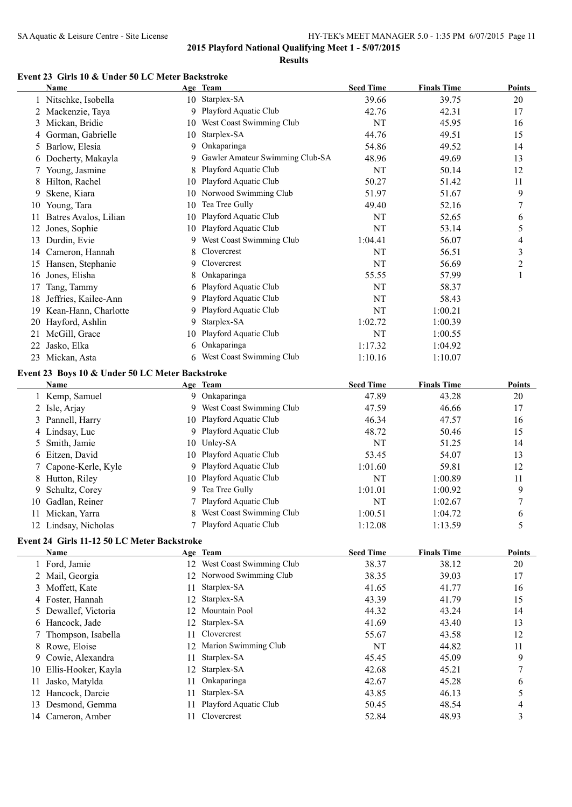**Results**

## **Event 23 Girls 10 & Under 50 LC Meter Backstroke**

|    | <b>Name</b>           |    | Age Team                        | <b>Seed Time</b> | <b>Finals Time</b> | <b>Points</b> |
|----|-----------------------|----|---------------------------------|------------------|--------------------|---------------|
|    | 1 Nitschke, Isobella  | 10 | Starplex-SA                     | 39.66            | 39.75              | 20            |
|    | Mackenzie, Taya       | 9  | Playford Aquatic Club           | 42.76            | 42.31              | 17            |
| 3  | Mickan, Bridie        | 10 | West Coast Swimming Club        | NT               | 45.95              | 16            |
|    | Gorman, Gabrielle     | 10 | Starplex-SA                     | 44.76            | 49.51              | 15            |
| 5  | Barlow, Elesia        | 9  | Onkaparinga                     | 54.86            | 49.52              | 14            |
| 6  | Docherty, Makayla     | 9  | Gawler Amateur Swimming Club-SA | 48.96            | 49.69              | 13            |
|    | Young, Jasmine        | 8  | Playford Aquatic Club           | NT               | 50.14              | 12            |
| 8  | Hilton, Rachel        | 10 | Playford Aquatic Club           | 50.27            | 51.42              | 11            |
| 9  | Skene, Kiara          | 10 | Norwood Swimming Club           | 51.97            | 51.67              | 9             |
| 10 | Young, Tara           | 10 | Tea Tree Gully                  | 49.40            | 52.16              | 7             |
| 11 | Batres Avalos, Lilian | 10 | Playford Aquatic Club           | NT               | 52.65              | 6             |
| 12 | Jones, Sophie         | 10 | Playford Aquatic Club           | NT               | 53.14              | 5             |
| 13 | Durdin, Evie          | 9  | West Coast Swimming Club        | 1:04.41          | 56.07              | 4             |
| 14 | Cameron, Hannah       | 8  | Clovercrest                     | NT               | 56.51              | 3             |
| 15 | Hansen, Stephanie     | 9  | Clovercrest                     | NT               | 56.69              | 2             |
| 16 | Jones, Elisha         | 8  | Onkaparinga                     | 55.55            | 57.99              |               |
| 17 | Tang, Tammy           | 6  | Playford Aquatic Club           | NT               | 58.37              |               |
| 18 | Jeffries, Kailee-Ann  | 9  | Playford Aquatic Club           | NT               | 58.43              |               |
| 19 | Kean-Hann, Charlotte  | 9. | Playford Aquatic Club           | NT               | 1:00.21            |               |
| 20 | Hayford, Ashlin       | 9. | Starplex-SA                     | 1:02.72          | 1:00.39            |               |
| 21 | McGill, Grace         | 10 | Playford Aquatic Club           | NT               | 1:00.55            |               |
| 22 | Jasko, Elka           | 6  | Onkaparinga                     | 1:17.32          | 1:04.92            |               |
| 23 | Mickan, Asta          | 6  | West Coast Swimming Club        | 1:10.16          | 1:10.07            |               |
|    |                       |    |                                 |                  |                    |               |

#### **Event 23 Boys 10 & Under 50 LC Meter Backstroke**

|     | Name                 | Age Team                   | <b>Seed Time</b> | <b>Finals Time</b> | <b>Points</b> |
|-----|----------------------|----------------------------|------------------|--------------------|---------------|
|     | Kemp, Samuel         | 9 Onkaparinga              | 47.89            | 43.28              | 20            |
|     | 2 Isle, Arjay        | 9 West Coast Swimming Club | 47.59            | 46.66              | 17            |
|     | 3 Pannell, Harry     | 10 Playford Aquatic Club   | 46.34            | 47.57              | 16            |
|     | 4 Lindsay, Luc       | 9 Playford Aquatic Club    | 48.72            | 50.46              | 15            |
|     | 5 Smith, Jamie       | 10 Unley-SA                | NT               | 51.25              | 14            |
|     | 6 Eitzen, David      | 10 Playford Aquatic Club   | 53.45            | 54.07              | 13            |
|     | 7 Capone-Kerle, Kyle | 9 Playford Aquatic Club    | 1:01.60          | 59.81              | 12            |
|     | 8 Hutton, Riley      | 10 Playford Aquatic Club   | NT               | 1:00.89            | 11            |
|     | 9 Schultz, Corey     | 9 Tea Tree Gully           | 1:01.01          | 1:00.92            | 9             |
| 10. | Gadlan, Reiner       | 7 Playford Aquatic Club    | NT               | 1:02.67            |               |
| 11  | Mickan, Yarra        | 8 West Coast Swimming Club | 1:00.51          | 1:04.72            | 6             |
|     | 12 Lindsay, Nicholas | 7 Playford Aquatic Club    | 1:12.08          | 1:13.59            |               |
|     |                      |                            |                  |                    |               |

# **Event 24 Girls 11-12 50 LC Meter Backstroke**

|    | Name                 |     | Age Team                 | <b>Seed Time</b> | <b>Finals Time</b> | <b>Points</b> |
|----|----------------------|-----|--------------------------|------------------|--------------------|---------------|
|    | 1 Ford, Jamie        | 12  | West Coast Swimming Club | 38.37            | 38.12              | 20            |
|    | 2 Mail, Georgia      |     | 12 Norwood Swimming Club | 38.35            | 39.03              | 17            |
|    | 3 Moffett, Kate      | 11  | Starplex-SA              | 41.65            | 41.77              | 16            |
|    | 4 Foster, Hannah     | 12. | Starplex-SA              | 43.39            | 41.79              | 15            |
|    | 5 Dewallef, Victoria | 12  | Mountain Pool            | 44.32            | 43.24              | 14            |
|    | 6 Hancock, Jade      | 12  | Starplex-SA              | 41.69            | 43.40              | 13            |
|    | 7 Thompson, Isabella | 11. | Clovercrest              | 55.67            | 43.58              | 12            |
|    | 8 Rowe, Eloise       |     | 12 Marion Swimming Club  | <b>NT</b>        | 44.82              | 11            |
|    | 9 Cowie, Alexandra   | 11  | Starplex-SA              | 45.45            | 45.09              | 9             |
| 10 | Ellis-Hooker, Kayla  | 12. | Starplex-SA              | 42.68            | 45.21              |               |
| 11 | Jasko, Matylda       | 11  | Onkaparinga              | 42.67            | 45.28              | 6             |
|    | Hancock, Darcie      | 11  | Starplex-SA              | 43.85            | 46.13              |               |
| 13 | Desmond, Gemma       |     | Playford Aquatic Club    | 50.45            | 48.54              | 4             |
|    | 14 Cameron, Amber    |     | Clovercrest              | 52.84            | 48.93              | 3             |
|    |                      |     |                          |                  |                    |               |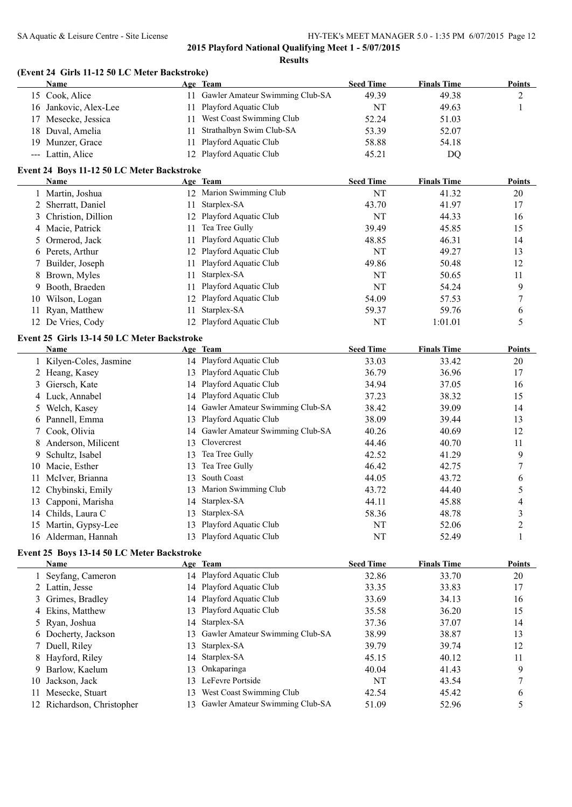#### SA Aquatic & Leisure Centre - Site License HY-TEK's MEET MANAGER 5.0 - 1:35 PM 6/07/2015 Page 12

**2015 Playford National Qualifying Meet 1 - 5/07/2015**

|        | (Event 24 Girls 11-12 50 LC Meter Backstroke) |    |                                    |                  |                    |                |
|--------|-----------------------------------------------|----|------------------------------------|------------------|--------------------|----------------|
|        | <b>Name</b>                                   |    | Age Team                           | <b>Seed Time</b> | <b>Finals Time</b> | <b>Points</b>  |
|        | 15 Cook, Alice                                |    | 11 Gawler Amateur Swimming Club-SA | 49.39            | 49.38              | $\overline{c}$ |
|        | 16 Jankovic, Alex-Lee                         | 11 | Playford Aquatic Club              | NT               | 49.63              | $\mathbf{1}$   |
|        | 17 Mesecke, Jessica                           | 11 | West Coast Swimming Club           | 52.24            | 51.03              |                |
|        | 18 Duval, Amelia                              | 11 | Strathalbyn Swim Club-SA           | 53.39            | 52.07              |                |
|        | 19 Munzer, Grace                              | 11 | Playford Aquatic Club              | 58.88            | 54.18              |                |
|        | --- Lattin, Alice                             |    | 12 Playford Aquatic Club           | 45.21            | <b>DQ</b>          |                |
|        | Event 24 Boys 11-12 50 LC Meter Backstroke    |    |                                    |                  |                    |                |
|        | Name                                          |    | Age Team                           | <b>Seed Time</b> | <b>Finals Time</b> | <b>Points</b>  |
|        | 1 Martin, Joshua                              |    | 12 Marion Swimming Club            | NT               | 41.32              | 20             |
| 2      | Sherratt, Daniel                              | 11 | Starplex-SA                        | 43.70            | 41.97              | 17             |
| 3      | Christion, Dillion                            | 12 | Playford Aquatic Club              | NT               | 44.33              | 16             |
|        | 4 Macie, Patrick                              | 11 | Tea Tree Gully                     | 39.49            | 45.85              | 15             |
| 5      | Ormerod, Jack                                 | 11 | Playford Aquatic Club              | 48.85            | 46.31              | 14             |
|        | 6 Perets, Arthur                              | 12 | Playford Aquatic Club              | NT               | 49.27              | 13             |
| 7      | Builder, Joseph                               | 11 | Playford Aquatic Club              | 49.86            | 50.48              | 12             |
|        | 8 Brown, Myles                                | 11 | Starplex-SA                        | NT               | 50.65              | 11             |
| 9      | Booth, Braeden                                | 11 | Playford Aquatic Club              | NT               | 54.24              | 9              |
|        | 10 Wilson, Logan                              | 12 | Playford Aquatic Club              | 54.09            | 57.53              | 7              |
| 11     | Ryan, Matthew                                 | 11 | Starplex-SA                        | 59.37            | 59.76              | 6              |
|        | 12 De Vries, Cody                             |    | 12 Playford Aquatic Club           | NT               | 1:01.01            | 5              |
|        | Event 25 Girls 13-14 50 LC Meter Backstroke   |    |                                    |                  |                    |                |
|        | <b>Name</b>                                   |    | Age Team                           | <b>Seed Time</b> | <b>Finals Time</b> | <b>Points</b>  |
|        | 1 Kilyen-Coles, Jasmine                       |    | 14 Playford Aquatic Club           | 33.03            | 33.42              | 20             |
|        | 2 Heang, Kasey                                | 13 | Playford Aquatic Club              | 36.79            | 36.96              | 17             |
|        | 3 Giersch, Kate                               | 14 | Playford Aquatic Club              | 34.94            | 37.05              | 16             |
|        | 4 Luck, Annabel                               | 14 | Playford Aquatic Club              | 37.23            | 38.32              | 15             |
|        | 5 Welch, Kasey                                | 14 | Gawler Amateur Swimming Club-SA    | 38.42            | 39.09              | 14             |
|        | 6 Pannell, Emma                               | 13 | Playford Aquatic Club              | 38.09            | 39.44              | 13             |
| 7      | Cook, Olivia                                  |    | 14 Gawler Amateur Swimming Club-SA | 40.26            | 40.69              | 12             |
|        | 8 Anderson, Milicent                          | 13 | Clovercrest                        | 44.46            | 40.70              | 11             |
| 9      | Schultz, Isabel                               | 13 | Tea Tree Gully                     | 42.52            | 41.29              | 9              |
|        | 10 Macie, Esther                              | 13 | Tea Tree Gully                     | 46.42            | 42.75              | 7              |
| 11     | McIver, Brianna                               | 13 | South Coast                        | 44.05            | 43.72              | 6              |
|        | 12 Chybinski, Emily                           | 13 | Marion Swimming Club               | 43.72            | 44.40              | 5              |
|        | 13 Capponi, Marisha                           |    | 14 Starplex-SA                     | 44.11            | 45.88              | 4              |
|        | 14 Childs, Laura C                            | 13 | Starplex-SA                        | 58.36            | 48.78              | 3              |
|        | 15 Martin, Gypsy-Lee                          | 13 | Playford Aquatic Club              | NT               | 52.06              | $\overline{c}$ |
|        | 16 Alderman, Hannah                           | 13 | Playford Aquatic Club              | NT               | 52.49              | 1              |
|        | Event 25 Boys 13-14 50 LC Meter Backstroke    |    |                                    |                  |                    |                |
|        | Name                                          |    | Age Team                           | <b>Seed Time</b> | <b>Finals Time</b> | <b>Points</b>  |
| 1      | Seyfang, Cameron                              |    | 14 Playford Aquatic Club           | 32.86            | 33.70              | $20\,$         |
|        | 2 Lattin, Jesse                               |    | 14 Playford Aquatic Club           | 33.35            | 33.83              | 17             |
| 3      | Grimes, Bradley                               | 14 | Playford Aquatic Club              | 33.69            | 34.13              | 16             |
| 4      | Ekins, Matthew                                | 13 | Playford Aquatic Club              | 35.58            | 36.20              | 15             |
| 5      | Ryan, Joshua                                  | 14 | Starplex-SA                        | 37.36            | 37.07              | 14             |
|        | 6 Docherty, Jackson                           | 13 | Gawler Amateur Swimming Club-SA    | 38.99            | 38.87              | 13             |
| $\tau$ | Duell, Riley                                  | 13 | Starplex-SA                        | 39.79            | 39.74              | 12             |
| 8      | Hayford, Riley                                | 14 | Starplex-SA                        | 45.15            | 40.12              | 11             |
| 9      | Barlow, Kaelum                                | 13 | Onkaparinga                        | 40.04            | 41.43              | 9              |
| 10     | Jackson, Jack                                 | 13 | LeFevre Portside                   | NT               | 43.54              | 7              |
| 11.    | Mesecke, Stuart                               | 13 | West Coast Swimming Club           | 42.54            | 45.42              |                |
|        | 12 Richardson, Christopher                    |    | 13 Gawler Amateur Swimming Club-SA | 51.09            | 52.96              | 6<br>5         |
|        |                                               |    |                                    |                  |                    |                |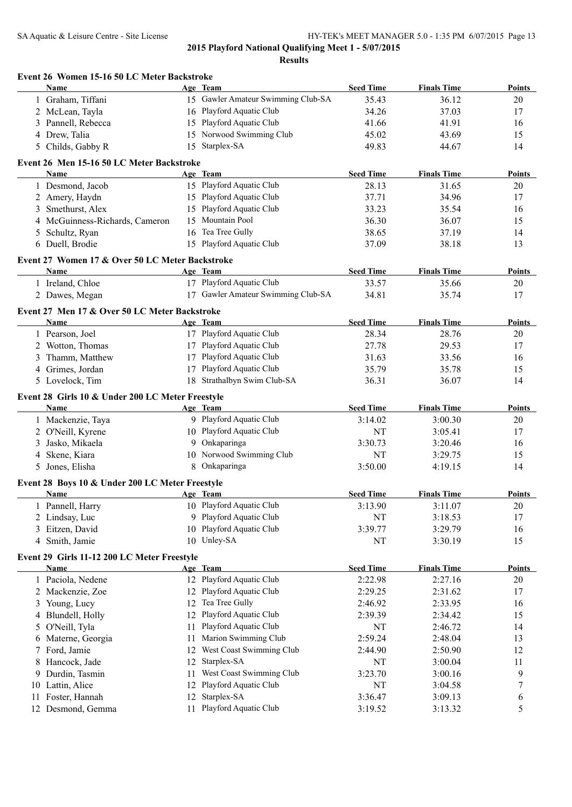|    | Event 26 Women 15-16 50 LC Meter Backstroke      |    |                                    |                  |                    |               |
|----|--------------------------------------------------|----|------------------------------------|------------------|--------------------|---------------|
|    | Name                                             |    | Age Team                           | <b>Seed Time</b> | <b>Finals Time</b> | <b>Points</b> |
|    | 1 Graham, Tiffani                                |    | 15 Gawler Amateur Swimming Club-SA | 35.43            | 36.12              | 20            |
|    | 2 McLean, Tayla                                  |    | 16 Playford Aquatic Club           | 34.26            | 37.03              | 17            |
|    | 3 Pannell, Rebecca                               |    | 15 Playford Aquatic Club           | 41.66            | 41.91              | 16            |
|    | 4 Drew, Talia                                    |    | 15 Norwood Swimming Club           | 45.02            | 43.69              | 15            |
|    | 5 Childs, Gabby R                                |    | 15 Starplex-SA                     | 49.83            | 44.67              | 14            |
|    | Event 26 Men 15-16 50 LC Meter Backstroke        |    |                                    |                  |                    |               |
|    | Name                                             |    | Age Team                           | <b>Seed Time</b> | <b>Finals Time</b> | <b>Points</b> |
|    | 1 Desmond, Jacob                                 |    | 15 Playford Aquatic Club           | 28.13            | 31.65              | 20            |
|    | 2 Amery, Haydn                                   |    | 15 Playford Aquatic Club           | 37.71            | 34.96              | 17            |
|    | 3 Smethurst, Alex                                |    | 15 Playford Aquatic Club           | 33.23            | 35.54              | 16            |
|    | 4 McGuinness-Richards, Cameron                   |    | 15 Mountain Pool                   | 36.30            | 36.07              | 15            |
|    | 5 Schultz, Ryan                                  |    | 16 Tea Tree Gully                  | 38.65            | 37.19              | 14            |
|    | 6 Duell, Brodie                                  |    | 15 Playford Aquatic Club           | 37.09            | 38.18              | 13            |
|    | Event 27 Women 17 & Over 50 LC Meter Backstroke  |    |                                    |                  |                    |               |
|    | <b>Name</b>                                      |    | Age Team                           | <b>Seed Time</b> | <b>Finals Time</b> | <b>Points</b> |
|    | 1 Ireland, Chloe                                 |    | 17 Playford Aquatic Club           | 33.57            | 35.66              | 20            |
|    | 2 Dawes, Megan                                   |    | 17 Gawler Amateur Swimming Club-SA | 34.81            | 35.74              | 17            |
|    | Event 27 Men 17 & Over 50 LC Meter Backstroke    |    |                                    |                  |                    |               |
|    | Name                                             |    | Age Team                           | <b>Seed Time</b> | <b>Finals Time</b> | <b>Points</b> |
|    | 1 Pearson, Joel                                  |    | 17 Playford Aquatic Club           | 28.34            | 28.76              | 20            |
|    | 2 Wotton, Thomas                                 |    | 17 Playford Aquatic Club           | 27.78            | 29.53              | 17            |
| 3  | Thamm, Matthew                                   |    | 17 Playford Aquatic Club           | 31.63            | 33.56              | 16            |
|    | 4 Grimes, Jordan                                 |    | 17 Playford Aquatic Club           | 35.79            | 35.78              | 15            |
|    | 5 Lovelock, Tim                                  |    | 18 Strathalbyn Swim Club-SA        | 36.31            | 36.07              | 14            |
|    | Event 28 Girls 10 & Under 200 LC Meter Freestyle |    |                                    |                  |                    |               |
|    | <b>Name</b>                                      |    | Age Team                           | <b>Seed Time</b> | <b>Finals Time</b> | Points        |
|    | 1 Mackenzie, Taya                                |    | 9 Playford Aquatic Club            | 3:14.02          | 3:00.30            | 20            |
|    | 2 O'Neill, Kyrene                                |    | 10 Playford Aquatic Club           | NT               | 3:05.41            | 17            |
| 3  | Jasko, Mikaela                                   |    | 9 Onkaparinga                      | 3:30.73          | 3:20.46            | 16            |
|    | 4 Skene, Kiara                                   |    | 10 Norwood Swimming Club           | NT               | 3:29.75            | 15            |
|    | 5 Jones, Elisha                                  |    | 8 Onkaparinga                      | 3:50.00          | 4:19.15            | 14            |
|    | Event 28 Boys 10 & Under 200 LC Meter Freestyle  |    |                                    |                  |                    |               |
|    | Name                                             |    | Age Team                           | <b>Seed Time</b> | <b>Finals Time</b> | <b>Points</b> |
|    | 1 Pannell, Harry                                 |    | 10 Playford Aquatic Club           | 3:13.90          | 3:11.07            | 20            |
|    | 2 Lindsay, Luc                                   |    | 9 Playford Aquatic Club            | NT               | 3:18.53            | 17            |
|    | 3 Eitzen, David                                  | 10 | Playford Aquatic Club              | 3:39.77          | 3:29.79            | 16            |
|    | 4 Smith, Jamie                                   |    | 10 Unley-SA                        | NT               | 3:30.19            | 15            |
|    | Event 29 Girls 11-12 200 LC Meter Freestyle      |    |                                    |                  |                    |               |
|    | Name                                             |    | Age Team                           | <b>Seed Time</b> | <b>Finals Time</b> | <b>Points</b> |
|    | 1 Paciola, Nedene                                |    | 12 Playford Aquatic Club           | 2:22.98          | 2:27.16            | 20            |
|    | 2 Mackenzie, Zoe                                 | 12 | Playford Aquatic Club              | 2:29.25          | 2:31.62            | 17            |
|    | 3 Young, Lucy                                    | 12 | Tea Tree Gully                     | 2:46.92          | 2:33.95            | 16            |
|    | 4 Blundell, Holly                                | 12 | Playford Aquatic Club              | 2:39.39          | 2:34.42            | 15            |
|    | 5 O'Neill, Tyla                                  | 11 | Playford Aquatic Club              | $\rm{NT}$        | 2:46.72            | 14            |
| 6  | Materne, Georgia                                 | 11 | Marion Swimming Club               | 2:59.24          | 2:48.04            | 13            |
|    | 7 Ford, Jamie                                    | 12 | West Coast Swimming Club           | 2:44.90          | 2:50.90            | 12            |
| 8  | Hancock, Jade                                    | 12 | Starplex-SA                        | NT               | 3:00.04            | 11            |
| 9  | Durdin, Tasmin                                   | 11 | West Coast Swimming Club           | 3:23.70          | 3:00.16            | 9             |
|    | 10 Lattin, Alice                                 | 12 | Playford Aquatic Club              | NT               | 3:04.58            | $\tau$        |
|    |                                                  |    | Starplex-SA                        | 3:36.47          |                    |               |
| 11 | Foster, Hannah                                   | 12 |                                    |                  | 3:09.13            | 6             |
|    | 12 Desmond, Gemma                                | 11 | Playford Aquatic Club              | 3:19.52          | 3:13.32            | 5             |